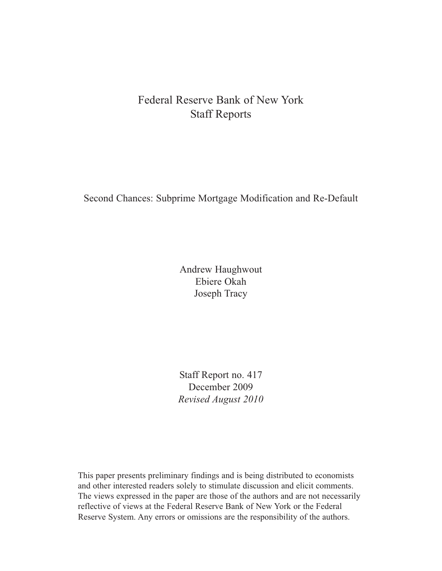# Federal Reserve Bank of New York Staff Reports

Second Chances: Subprime Mortgage Modification and Re-Default

Andrew Haughwout Ebiere Okah Joseph Tracy

Staff Report no. 417 December 2009 *Revised August 2010*

This paper presents preliminary findings and is being distributed to economists and other interested readers solely to stimulate discussion and elicit comments. The views expressed in the paper are those of the authors and are not necessarily reflective of views at the Federal Reserve Bank of New York or the Federal Reserve System. Any errors or omissions are the responsibility of the authors.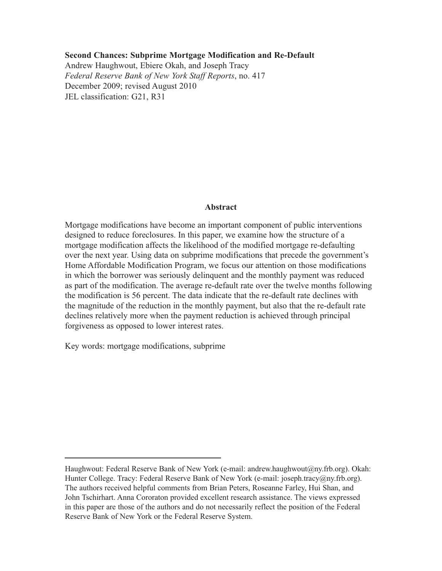#### **Second Chances: Subprime Mortgage Modification and Re-Default**

Andrew Haughwout, Ebiere Okah, and Joseph Tracy *Federal Reserve Bank of New York Staff Reports*, no. 417 December 2009; revised August 2010 JEL classification: G21, R31

#### **Abstract**

Mortgage modifications have become an important component of public interventions designed to reduce foreclosures. In this paper, we examine how the structure of a mortgage modification affects the likelihood of the modified mortgage re-defaulting over the next year. Using data on subprime modifications that precede the government's Home Affordable Modification Program, we focus our attention on those modifications in which the borrower was seriously delinquent and the monthly payment was reduced as part of the modification. The average re-default rate over the twelve months following the modification is 56 percent. The data indicate that the re-default rate declines with the magnitude of the reduction in the monthly payment, but also that the re-default rate declines relatively more when the payment reduction is achieved through principal forgiveness as opposed to lower interest rates.

Key words: mortgage modifications, subprime

Haughwout: Federal Reserve Bank of New York (e-mail: andrew.haughwout@ny.frb.org). Okah: Hunter College. Tracy: Federal Reserve Bank of New York (e-mail: joseph.tracy@ny.frb.org). The authors received helpful comments from Brian Peters, Roseanne Farley, Hui Shan, and John Tschirhart. Anna Cororaton provided excellent research assistance. The views expressed in this paper are those of the authors and do not necessarily reflect the position of the Federal Reserve Bank of New York or the Federal Reserve System.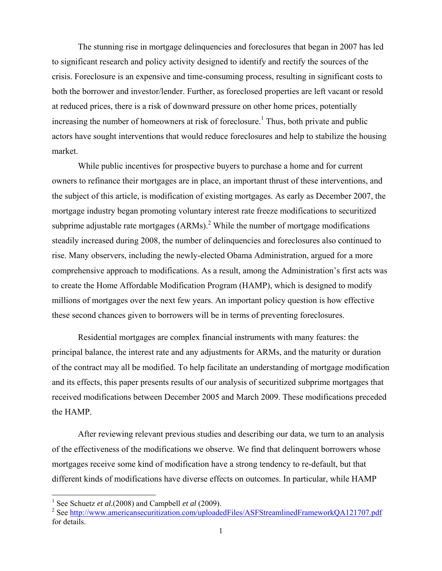The stunning rise in mortgage delinquencies and foreclosures that began in 2007 has led to significant research and policy activity designed to identify and rectify the sources of the crisis. Foreclosure is an expensive and time-consuming process, resulting in significant costs to both the borrower and investor/lender. Further, as foreclosed properties are left vacant or resold at reduced prices, there is a risk of downward pressure on other home prices, potentially increasing the number of homeowners at risk of foreclosure.<sup>1</sup> Thus, both private and public actors have sought interventions that would reduce foreclosures and help to stabilize the housing market.

 While public incentives for prospective buyers to purchase a home and for current owners to refinance their mortgages are in place, an important thrust of these interventions, and the subject of this article, is modification of existing mortgages. As early as December 2007, the mortgage industry began promoting voluntary interest rate freeze modifications to securitized subprime adjustable rate mortgages  $(ARMs)$ .<sup>2</sup> While the number of mortgage modifications steadily increased during 2008, the number of delinquencies and foreclosures also continued to rise. Many observers, including the newly-elected Obama Administration, argued for a more comprehensive approach to modifications. As a result, among the Administration's first acts was to create the Home Affordable Modification Program (HAMP), which is designed to modify millions of mortgages over the next few years. An important policy question is how effective these second chances given to borrowers will be in terms of preventing foreclosures.

 Residential mortgages are complex financial instruments with many features: the principal balance, the interest rate and any adjustments for ARMs, and the maturity or duration of the contract may all be modified. To help facilitate an understanding of mortgage modification and its effects, this paper presents results of our analysis of securitized subprime mortgages that received modifications between December 2005 and March 2009. These modifications preceded the HAMP.

After reviewing relevant previous studies and describing our data, we turn to an analysis of the effectiveness of the modifications we observe. We find that delinquent borrowers whose mortgages receive some kind of modification have a strong tendency to re-default, but that different kinds of modifications have diverse effects on outcomes. In particular, while HAMP

<sup>&</sup>lt;sup>1</sup> See Schuetz *et al.*(2008) and Campbell *et al* (2009).

<sup>&</sup>lt;sup>2</sup> See http://www.americansecuritization.com/uploadedFiles/ASFStreamlinedFrameworkQA121707.pdf for details.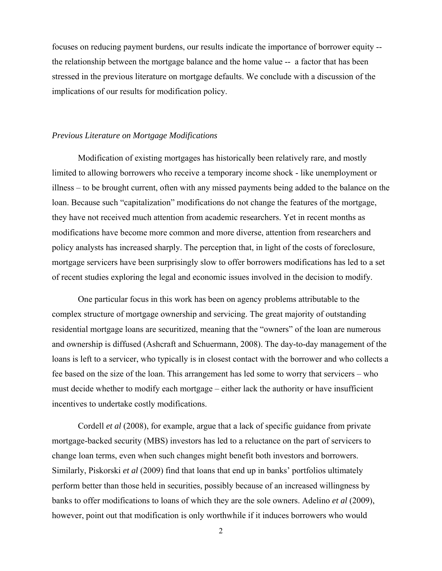focuses on reducing payment burdens, our results indicate the importance of borrower equity - the relationship between the mortgage balance and the home value -- a factor that has been stressed in the previous literature on mortgage defaults. We conclude with a discussion of the implications of our results for modification policy.

#### *Previous Literature on Mortgage Modifications*

 Modification of existing mortgages has historically been relatively rare, and mostly limited to allowing borrowers who receive a temporary income shock - like unemployment or illness – to be brought current, often with any missed payments being added to the balance on the loan. Because such "capitalization" modifications do not change the features of the mortgage, they have not received much attention from academic researchers. Yet in recent months as modifications have become more common and more diverse, attention from researchers and policy analysts has increased sharply. The perception that, in light of the costs of foreclosure, mortgage servicers have been surprisingly slow to offer borrowers modifications has led to a set of recent studies exploring the legal and economic issues involved in the decision to modify.

One particular focus in this work has been on agency problems attributable to the complex structure of mortgage ownership and servicing. The great majority of outstanding residential mortgage loans are securitized, meaning that the "owners" of the loan are numerous and ownership is diffused (Ashcraft and Schuermann, 2008). The day-to-day management of the loans is left to a servicer, who typically is in closest contact with the borrower and who collects a fee based on the size of the loan. This arrangement has led some to worry that servicers – who must decide whether to modify each mortgage – either lack the authority or have insufficient incentives to undertake costly modifications.

Cordell *et al* (2008), for example, argue that a lack of specific guidance from private mortgage-backed security (MBS) investors has led to a reluctance on the part of servicers to change loan terms, even when such changes might benefit both investors and borrowers. Similarly, Piskorski *et al* (2009) find that loans that end up in banks' portfolios ultimately perform better than those held in securities, possibly because of an increased willingness by banks to offer modifications to loans of which they are the sole owners. Adelino *et al* (2009), however, point out that modification is only worthwhile if it induces borrowers who would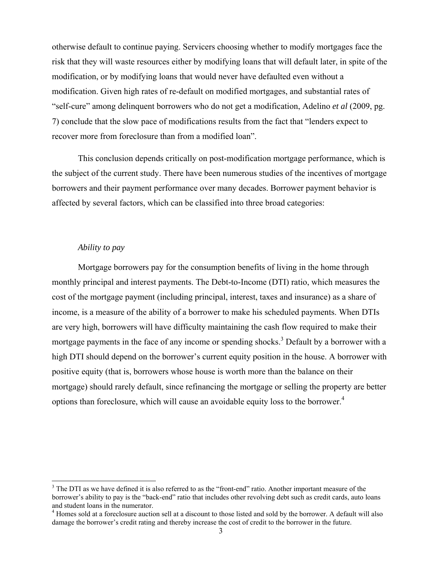otherwise default to continue paying. Servicers choosing whether to modify mortgages face the risk that they will waste resources either by modifying loans that will default later, in spite of the modification, or by modifying loans that would never have defaulted even without a modification. Given high rates of re-default on modified mortgages, and substantial rates of "self-cure" among delinquent borrowers who do not get a modification, Adelino *et al* (2009, pg. 7) conclude that the slow pace of modifications results from the fact that "lenders expect to recover more from foreclosure than from a modified loan".

This conclusion depends critically on post-modification mortgage performance, which is the subject of the current study. There have been numerous studies of the incentives of mortgage borrowers and their payment performance over many decades. Borrower payment behavior is affected by several factors, which can be classified into three broad categories:

#### *Ability to pay*

Mortgage borrowers pay for the consumption benefits of living in the home through monthly principal and interest payments. The Debt-to-Income (DTI) ratio, which measures the cost of the mortgage payment (including principal, interest, taxes and insurance) as a share of income, is a measure of the ability of a borrower to make his scheduled payments. When DTIs are very high, borrowers will have difficulty maintaining the cash flow required to make their mortgage payments in the face of any income or spending shocks.<sup>3</sup> Default by a borrower with a high DTI should depend on the borrower's current equity position in the house. A borrower with positive equity (that is, borrowers whose house is worth more than the balance on their mortgage) should rarely default, since refinancing the mortgage or selling the property are better options than foreclosure, which will cause an avoidable equity loss to the borrower.<sup>4</sup>

<sup>&</sup>lt;sup>3</sup> The DTI as we have defined it is also referred to as the "front-end" ratio. Another important measure of the borrower's ability to pay is the "back-end" ratio that includes other revolving debt such as credit cards, auto loans and student loans in the numerator.

<sup>&</sup>lt;sup>4</sup> Homes sold at a foreclosure auction sell at a discount to those listed and sold by the borrower. A default will also damage the borrower's credit rating and thereby increase the cost of credit to the borrower in the future.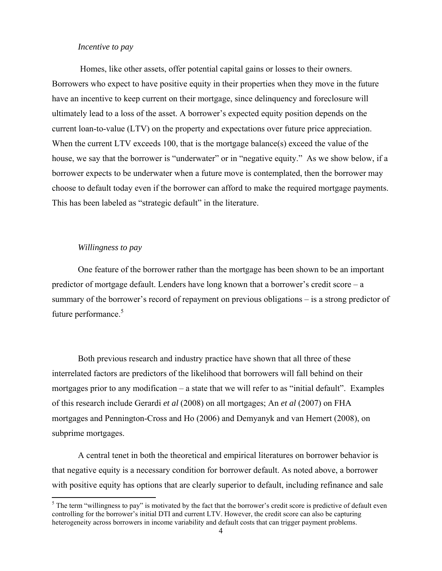### *Incentive to pay*

Homes, like other assets, offer potential capital gains or losses to their owners. Borrowers who expect to have positive equity in their properties when they move in the future have an incentive to keep current on their mortgage, since delinquency and foreclosure will ultimately lead to a loss of the asset. A borrower's expected equity position depends on the current loan-to-value (LTV) on the property and expectations over future price appreciation. When the current LTV exceeds 100, that is the mortgage balance(s) exceed the value of the house, we say that the borrower is "underwater" or in "negative equity." As we show below, if a borrower expects to be underwater when a future move is contemplated, then the borrower may choose to default today even if the borrower can afford to make the required mortgage payments. This has been labeled as "strategic default" in the literature.

#### *Willingness to pay*

One feature of the borrower rather than the mortgage has been shown to be an important predictor of mortgage default. Lenders have long known that a borrower's credit score – a summary of the borrower's record of repayment on previous obligations – is a strong predictor of future performance.<sup>5</sup>

Both previous research and industry practice have shown that all three of these interrelated factors are predictors of the likelihood that borrowers will fall behind on their mortgages prior to any modification – a state that we will refer to as "initial default". Examples of this research include Gerardi *et al* (2008) on all mortgages; An *et al* (2007) on FHA mortgages and Pennington-Cross and Ho (2006) and Demyanyk and van Hemert (2008), on subprime mortgages.

A central tenet in both the theoretical and empirical literatures on borrower behavior is that negative equity is a necessary condition for borrower default. As noted above, a borrower with positive equity has options that are clearly superior to default, including refinance and sale

<sup>&</sup>lt;sup>5</sup> The term "willingness to pay" is motivated by the fact that the borrower's credit score is predictive of default even controlling for the borrower's initial DTI and current LTV. However, the credit score can also be capturing heterogeneity across borrowers in income variability and default costs that can trigger payment problems.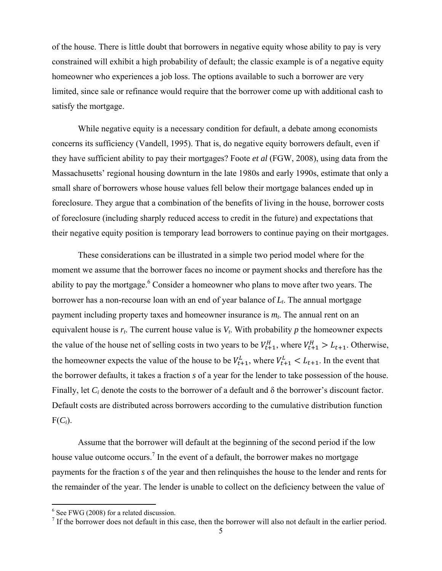of the house. There is little doubt that borrowers in negative equity whose ability to pay is very constrained will exhibit a high probability of default; the classic example is of a negative equity homeowner who experiences a job loss. The options available to such a borrower are very limited, since sale or refinance would require that the borrower come up with additional cash to satisfy the mortgage.

While negative equity is a necessary condition for default, a debate among economists concerns its sufficiency (Vandell, 1995). That is, do negative equity borrowers default, even if they have sufficient ability to pay their mortgages? Foote *et al* (FGW, 2008), using data from the Massachusetts' regional housing downturn in the late 1980s and early 1990s, estimate that only a small share of borrowers whose house values fell below their mortgage balances ended up in foreclosure. They argue that a combination of the benefits of living in the house, borrower costs of foreclosure (including sharply reduced access to credit in the future) and expectations that their negative equity position is temporary lead borrowers to continue paying on their mortgages.

These considerations can be illustrated in a simple two period model where for the moment we assume that the borrower faces no income or payment shocks and therefore has the ability to pay the mortgage.<sup>6</sup> Consider a homeowner who plans to move after two years. The borrower has a non-recourse loan with an end of year balance of *Lt*. The annual mortgage payment including property taxes and homeowner insurance is  $m_t$ . The annual rent on an equivalent house is  $r_t$ . The current house value is  $V_t$ . With probability  $p$  the homeowner expects the value of the house net of selling costs in two years to be  $V_{t+1}^H$ , where  $V_{t+1}^H > L_{t+1}$ . Otherwise, the homeowner expects the value of the house to be  $V_{t+1}^L$ , where  $V_{t+1}^L < L_{t+1}$ . In the event that the borrower defaults, it takes a fraction *s* of a year for the lender to take possession of the house. Finally, let *Ci* denote the costs to the borrower of a default and δ the borrower's discount factor. Default costs are distributed across borrowers according to the cumulative distribution function  $F(C_i)$ .

Assume that the borrower will default at the beginning of the second period if the low house value outcome occurs.<sup>7</sup> In the event of a default, the borrower makes no mortgage payments for the fraction *s* of the year and then relinquishes the house to the lender and rents for the remainder of the year. The lender is unable to collect on the deficiency between the value of

 $6 S_{00}$  EWG (2008) for a related discussion

<sup>&</sup>lt;sup>6</sup> See FWG (2008) for a related discussion.<br><sup>7</sup> If the borrower does not default in this case, then the borrower will also not default in the earlier period.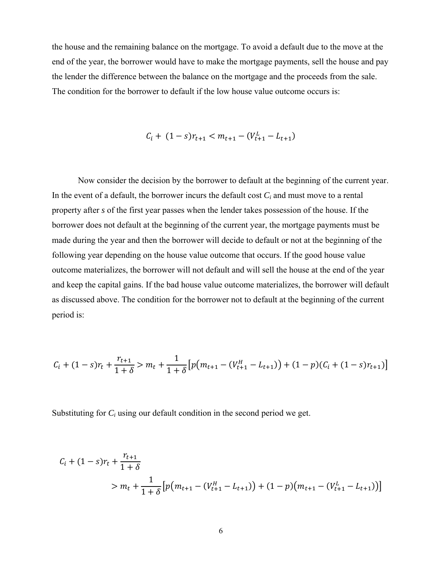the house and the remaining balance on the mortgage. To avoid a default due to the move at the end of the year, the borrower would have to make the mortgage payments, sell the house and pay the lender the difference between the balance on the mortgage and the proceeds from the sale. The condition for the borrower to default if the low house value outcome occurs is:

$$
C_i + (1 - s)r_{t+1} < m_{t+1} - (V_{t+1}^L - L_{t+1})
$$

Now consider the decision by the borrower to default at the beginning of the current year. In the event of a default, the borrower incurs the default cost *Ci* and must move to a rental property after *s* of the first year passes when the lender takes possession of the house. If the borrower does not default at the beginning of the current year, the mortgage payments must be made during the year and then the borrower will decide to default or not at the beginning of the following year depending on the house value outcome that occurs. If the good house value outcome materializes, the borrower will not default and will sell the house at the end of the year and keep the capital gains. If the bad house value outcome materializes, the borrower will default as discussed above. The condition for the borrower not to default at the beginning of the current period is:

$$
C_i + (1 - s)r_t + \frac{r_{t+1}}{1 + \delta} > m_t + \frac{1}{1 + \delta} \left[ p(m_{t+1} - (V_{t+1}^H - L_{t+1})) + (1 - p)(C_i + (1 - s)r_{t+1}) \right]
$$

Substituting for *Ci* using our default condition in the second period we get.

$$
C_{i} + (1 - s)r_{t} + \frac{r_{t+1}}{1 + \delta}
$$
  
>  $m_{t} + \frac{1}{1 + \delta} \left[ p(m_{t+1} - (V_{t+1}^{H} - L_{t+1})) + (1 - p)(m_{t+1} - (V_{t+1}^{L} - L_{t+1})) \right]$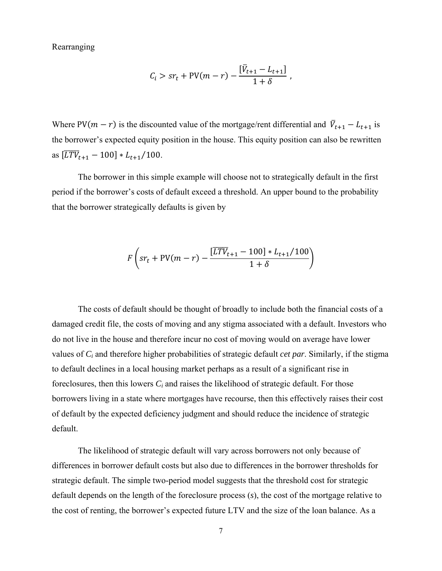Rearranging

$$
C_i > sr_t + PV(m-r) - \frac{[\bar{V}_{t+1} - L_{t+1}]}{1+\delta} ,
$$

Where PV( $m - r$ ) is the discounted value of the mortgage/rent differential and  $\bar{V}_{t+1} - L_{t+1}$  is the borrower's expected equity position in the house. This equity position can also be rewritten as  $[\overline{LTV}_{t+1} - 100] * L_{t+1}/100$ .

 The borrower in this simple example will choose not to strategically default in the first period if the borrower's costs of default exceed a threshold. An upper bound to the probability that the borrower strategically defaults is given by

$$
F\left(sr_t + PV(m-r) - \frac{[TTV_{t+1} - 100] * L_{t+1}/100}{1+\delta}\right)
$$

The costs of default should be thought of broadly to include both the financial costs of a damaged credit file, the costs of moving and any stigma associated with a default. Investors who do not live in the house and therefore incur no cost of moving would on average have lower values of *Ci* and therefore higher probabilities of strategic default *cet par*. Similarly, if the stigma to default declines in a local housing market perhaps as a result of a significant rise in foreclosures, then this lowers *Ci* and raises the likelihood of strategic default. For those borrowers living in a state where mortgages have recourse, then this effectively raises their cost of default by the expected deficiency judgment and should reduce the incidence of strategic default.

The likelihood of strategic default will vary across borrowers not only because of differences in borrower default costs but also due to differences in the borrower thresholds for strategic default. The simple two-period model suggests that the threshold cost for strategic default depends on the length of the foreclosure process (*s*), the cost of the mortgage relative to the cost of renting, the borrower's expected future LTV and the size of the loan balance. As a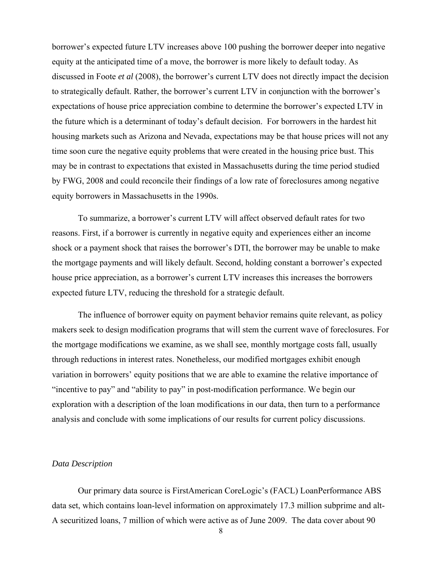borrower's expected future LTV increases above 100 pushing the borrower deeper into negative equity at the anticipated time of a move, the borrower is more likely to default today. As discussed in Foote *et al* (2008), the borrower's current LTV does not directly impact the decision to strategically default. Rather, the borrower's current LTV in conjunction with the borrower's expectations of house price appreciation combine to determine the borrower's expected LTV in the future which is a determinant of today's default decision. For borrowers in the hardest hit housing markets such as Arizona and Nevada, expectations may be that house prices will not any time soon cure the negative equity problems that were created in the housing price bust. This may be in contrast to expectations that existed in Massachusetts during the time period studied by FWG, 2008 and could reconcile their findings of a low rate of foreclosures among negative equity borrowers in Massachusetts in the 1990s.

 To summarize, a borrower's current LTV will affect observed default rates for two reasons. First, if a borrower is currently in negative equity and experiences either an income shock or a payment shock that raises the borrower's DTI, the borrower may be unable to make the mortgage payments and will likely default. Second, holding constant a borrower's expected house price appreciation, as a borrower's current LTV increases this increases the borrowers expected future LTV, reducing the threshold for a strategic default.

The influence of borrower equity on payment behavior remains quite relevant, as policy makers seek to design modification programs that will stem the current wave of foreclosures. For the mortgage modifications we examine, as we shall see, monthly mortgage costs fall, usually through reductions in interest rates. Nonetheless, our modified mortgages exhibit enough variation in borrowers' equity positions that we are able to examine the relative importance of "incentive to pay" and "ability to pay" in post-modification performance. We begin our exploration with a description of the loan modifications in our data, then turn to a performance analysis and conclude with some implications of our results for current policy discussions.

#### *Data Description*

Our primary data source is FirstAmerican CoreLogic's (FACL) LoanPerformance ABS data set, which contains loan-level information on approximately 17.3 million subprime and alt-A securitized loans, 7 million of which were active as of June 2009. The data cover about 90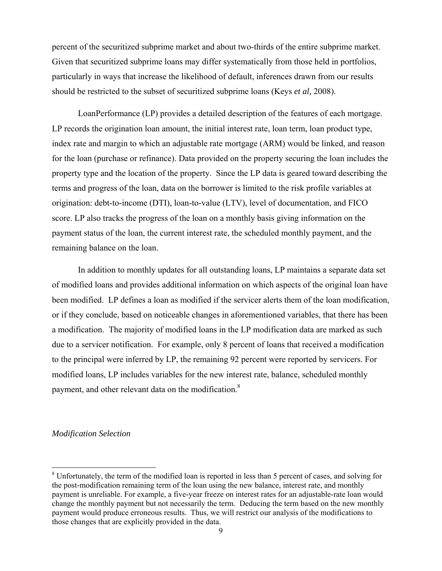percent of the securitized subprime market and about two-thirds of the entire subprime market. Given that securitized subprime loans may differ systematically from those held in portfolios, particularly in ways that increase the likelihood of default, inferences drawn from our results should be restricted to the subset of securitized subprime loans (Keys *et al,* 2008).

LoanPerformance (LP) provides a detailed description of the features of each mortgage. LP records the origination loan amount, the initial interest rate, loan term, loan product type, index rate and margin to which an adjustable rate mortgage (ARM) would be linked, and reason for the loan (purchase or refinance). Data provided on the property securing the loan includes the property type and the location of the property. Since the LP data is geared toward describing the terms and progress of the loan, data on the borrower is limited to the risk profile variables at origination: debt-to-income (DTI), loan-to-value (LTV), level of documentation, and FICO score. LP also tracks the progress of the loan on a monthly basis giving information on the payment status of the loan, the current interest rate, the scheduled monthly payment, and the remaining balance on the loan.

In addition to monthly updates for all outstanding loans, LP maintains a separate data set of modified loans and provides additional information on which aspects of the original loan have been modified. LP defines a loan as modified if the servicer alerts them of the loan modification, or if they conclude, based on noticeable changes in aforementioned variables, that there has been a modification. The majority of modified loans in the LP modification data are marked as such due to a servicer notification. For example, only 8 percent of loans that received a modification to the principal were inferred by LP, the remaining 92 percent were reported by servicers. For modified loans, LP includes variables for the new interest rate, balance, scheduled monthly payment, and other relevant data on the modification. $8$ 

#### *Modification Selection*

<sup>&</sup>lt;sup>8</sup> Unfortunately, the term of the modified loan is reported in less than 5 percent of cases, and solving for the post-modification remaining term of the loan using the new balance, interest rate, and monthly payment is unreliable. For example, a five-year freeze on interest rates for an adjustable-rate loan would change the monthly payment but not necessarily the term. Deducing the term based on the new monthly payment would produce erroneous results. Thus, we will restrict our analysis of the modifications to those changes that are explicitly provided in the data.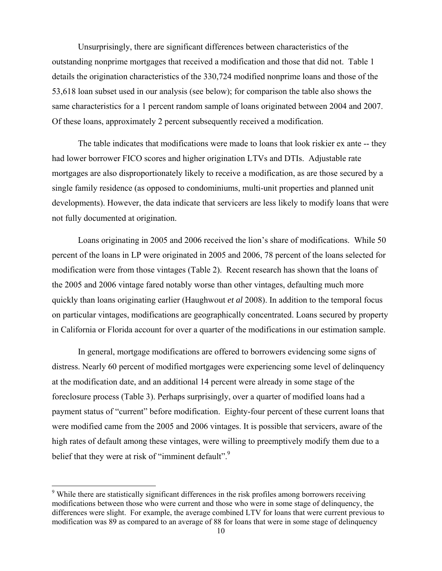Unsurprisingly, there are significant differences between characteristics of the outstanding nonprime mortgages that received a modification and those that did not. Table 1 details the origination characteristics of the 330,724 modified nonprime loans and those of the 53,618 loan subset used in our analysis (see below); for comparison the table also shows the same characteristics for a 1 percent random sample of loans originated between 2004 and 2007. Of these loans, approximately 2 percent subsequently received a modification.

The table indicates that modifications were made to loans that look riskier ex ante -- they had lower borrower FICO scores and higher origination LTVs and DTIs. Adjustable rate mortgages are also disproportionately likely to receive a modification, as are those secured by a single family residence (as opposed to condominiums, multi-unit properties and planned unit developments). However, the data indicate that servicers are less likely to modify loans that were not fully documented at origination.

Loans originating in 2005 and 2006 received the lion's share of modifications. While 50 percent of the loans in LP were originated in 2005 and 2006, 78 percent of the loans selected for modification were from those vintages (Table 2). Recent research has shown that the loans of the 2005 and 2006 vintage fared notably worse than other vintages, defaulting much more quickly than loans originating earlier (Haughwout *et al* 2008). In addition to the temporal focus on particular vintages, modifications are geographically concentrated. Loans secured by property in California or Florida account for over a quarter of the modifications in our estimation sample.

In general, mortgage modifications are offered to borrowers evidencing some signs of distress. Nearly 60 percent of modified mortgages were experiencing some level of delinquency at the modification date, and an additional 14 percent were already in some stage of the foreclosure process (Table 3). Perhaps surprisingly, over a quarter of modified loans had a payment status of "current" before modification. Eighty-four percent of these current loans that were modified came from the 2005 and 2006 vintages. It is possible that servicers, aware of the high rates of default among these vintages, were willing to preemptively modify them due to a belief that they were at risk of "imminent default".<sup>9</sup>

<sup>&</sup>lt;sup>9</sup> While there are statistically significant differences in the risk profiles among borrowers receiving modifications between those who were current and those who were in some stage of delinquency, the differences were slight. For example, the average combined LTV for loans that were current previous to modification was 89 as compared to an average of 88 for loans that were in some stage of delinquency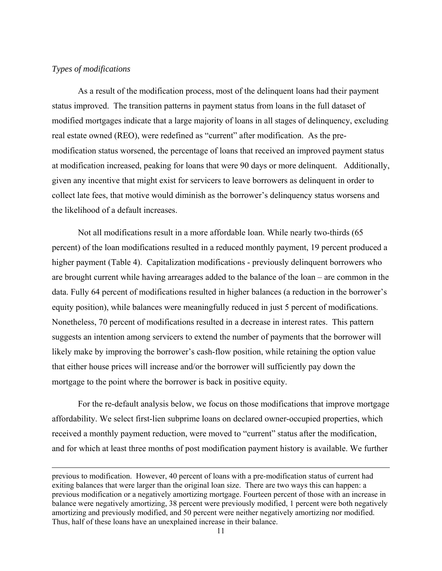### *Types of modifications*

As a result of the modification process, most of the delinquent loans had their payment status improved. The transition patterns in payment status from loans in the full dataset of modified mortgages indicate that a large majority of loans in all stages of delinquency, excluding real estate owned (REO), were redefined as "current" after modification. As the premodification status worsened, the percentage of loans that received an improved payment status at modification increased, peaking for loans that were 90 days or more delinquent. Additionally, given any incentive that might exist for servicers to leave borrowers as delinquent in order to collect late fees, that motive would diminish as the borrower's delinquency status worsens and the likelihood of a default increases.

Not all modifications result in a more affordable loan. While nearly two-thirds (65 percent) of the loan modifications resulted in a reduced monthly payment, 19 percent produced a higher payment (Table 4). Capitalization modifications - previously delinquent borrowers who are brought current while having arrearages added to the balance of the loan – are common in the data. Fully 64 percent of modifications resulted in higher balances (a reduction in the borrower's equity position), while balances were meaningfully reduced in just 5 percent of modifications. Nonetheless, 70 percent of modifications resulted in a decrease in interest rates. This pattern suggests an intention among servicers to extend the number of payments that the borrower will likely make by improving the borrower's cash-flow position, while retaining the option value that either house prices will increase and/or the borrower will sufficiently pay down the mortgage to the point where the borrower is back in positive equity.

For the re-default analysis below, we focus on those modifications that improve mortgage affordability. We select first-lien subprime loans on declared owner-occupied properties, which received a monthly payment reduction, were moved to "current" status after the modification, and for which at least three months of post modification payment history is available. We further

<u> 1989 - Johann Stein, marwolaethau a gweledydd a ganlad y ganlad y ganlad y ganlad y ganlad y ganlad y ganlad</u>

previous to modification. However, 40 percent of loans with a pre-modification status of current had exiting balances that were larger than the original loan size. There are two ways this can happen: a previous modification or a negatively amortizing mortgage. Fourteen percent of those with an increase in balance were negatively amortizing, 38 percent were previously modified, 1 percent were both negatively amortizing and previously modified, and 50 percent were neither negatively amortizing nor modified. Thus, half of these loans have an unexplained increase in their balance.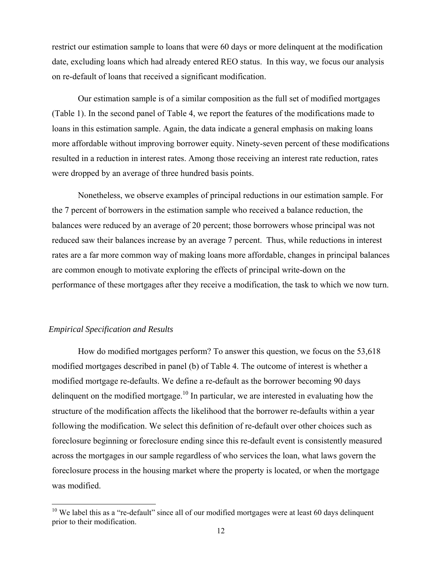restrict our estimation sample to loans that were 60 days or more delinquent at the modification date, excluding loans which had already entered REO status. In this way, we focus our analysis on re-default of loans that received a significant modification.

Our estimation sample is of a similar composition as the full set of modified mortgages (Table 1). In the second panel of Table 4, we report the features of the modifications made to loans in this estimation sample. Again, the data indicate a general emphasis on making loans more affordable without improving borrower equity. Ninety-seven percent of these modifications resulted in a reduction in interest rates. Among those receiving an interest rate reduction, rates were dropped by an average of three hundred basis points.

Nonetheless, we observe examples of principal reductions in our estimation sample. For the 7 percent of borrowers in the estimation sample who received a balance reduction, the balances were reduced by an average of 20 percent; those borrowers whose principal was not reduced saw their balances increase by an average 7 percent. Thus, while reductions in interest rates are a far more common way of making loans more affordable, changes in principal balances are common enough to motivate exploring the effects of principal write-down on the performance of these mortgages after they receive a modification, the task to which we now turn.

## *Empirical Specification and Results*

How do modified mortgages perform? To answer this question, we focus on the 53,618 modified mortgages described in panel (b) of Table 4. The outcome of interest is whether a modified mortgage re-defaults. We define a re-default as the borrower becoming 90 days delinquent on the modified mortgage.<sup>10</sup> In particular, we are interested in evaluating how the structure of the modification affects the likelihood that the borrower re-defaults within a year following the modification. We select this definition of re-default over other choices such as foreclosure beginning or foreclosure ending since this re-default event is consistently measured across the mortgages in our sample regardless of who services the loan, what laws govern the foreclosure process in the housing market where the property is located, or when the mortgage was modified.

 $10$  We label this as a "re-default" since all of our modified mortgages were at least 60 days delinquent prior to their modification.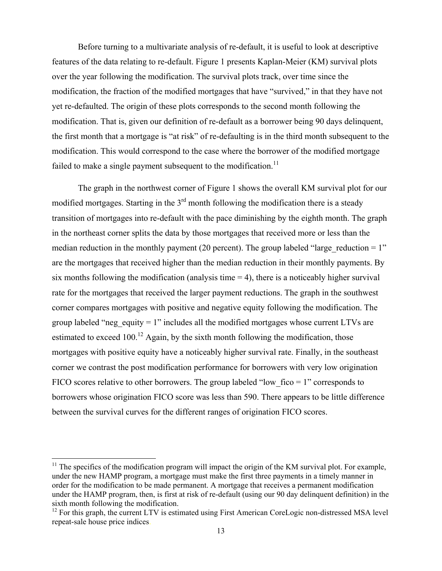Before turning to a multivariate analysis of re-default, it is useful to look at descriptive features of the data relating to re-default. Figure 1 presents Kaplan-Meier (KM) survival plots over the year following the modification. The survival plots track, over time since the modification, the fraction of the modified mortgages that have "survived," in that they have not yet re-defaulted. The origin of these plots corresponds to the second month following the modification. That is, given our definition of re-default as a borrower being 90 days delinquent, the first month that a mortgage is "at risk" of re-defaulting is in the third month subsequent to the modification. This would correspond to the case where the borrower of the modified mortgage failed to make a single payment subsequent to the modification.<sup>11</sup>

 The graph in the northwest corner of Figure 1 shows the overall KM survival plot for our modified mortgages. Starting in the  $3<sup>rd</sup>$  month following the modification there is a steady transition of mortgages into re-default with the pace diminishing by the eighth month. The graph in the northeast corner splits the data by those mortgages that received more or less than the median reduction in the monthly payment (20 percent). The group labeled "large reduction  $= 1$ " are the mortgages that received higher than the median reduction in their monthly payments. By six months following the modification (analysis time  $= 4$ ), there is a noticeably higher survival rate for the mortgages that received the larger payment reductions. The graph in the southwest corner compares mortgages with positive and negative equity following the modification. The group labeled "neg\_equity = 1" includes all the modified mortgages whose current LTVs are estimated to exceed  $100<sup>12</sup>$  Again, by the sixth month following the modification, those mortgages with positive equity have a noticeably higher survival rate. Finally, in the southeast corner we contrast the post modification performance for borrowers with very low origination FICO scores relative to other borrowers. The group labeled "low fico  $= 1$ " corresponds to borrowers whose origination FICO score was less than 590. There appears to be little difference between the survival curves for the different ranges of origination FICO scores.

 $11$  The specifics of the modification program will impact the origin of the KM survival plot. For example, under the new HAMP program, a mortgage must make the first three payments in a timely manner in order for the modification to be made permanent. A mortgage that receives a permanent modification under the HAMP program, then, is first at risk of re-default (using our 90 day delinquent definition) in the sixth month following the modification.

<sup>&</sup>lt;sup>12</sup> For this graph, the current LTV is estimated using First American CoreLogic non-distressed MSA level repeat-sale house price indices.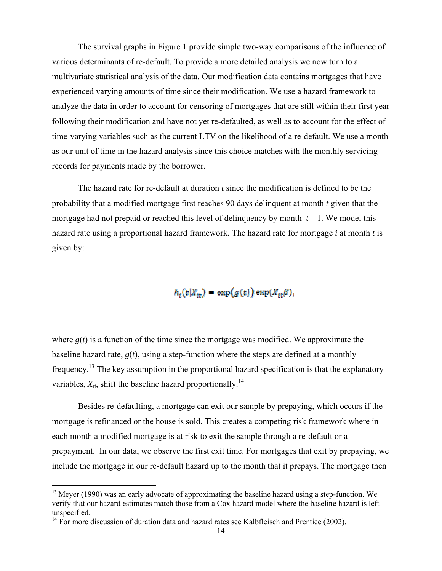The survival graphs in Figure 1 provide simple two-way comparisons of the influence of various determinants of re-default. To provide a more detailed analysis we now turn to a multivariate statistical analysis of the data. Our modification data contains mortgages that have experienced varying amounts of time since their modification. We use a hazard framework to analyze the data in order to account for censoring of mortgages that are still within their first year following their modification and have not yet re-defaulted, as well as to account for the effect of time-varying variables such as the current LTV on the likelihood of a re-default. We use a month as our unit of time in the hazard analysis since this choice matches with the monthly servicing records for payments made by the borrower.

The hazard rate for re-default at duration  $t$  since the modification is defined to be the probability that a modified mortgage first reaches 90 days delinquent at month *t* given that the mortgage had not prepaid or reached this level of delinquency by month  $t - 1$ . We model this hazard rate using a proportional hazard framework. The hazard rate for mortgage *i* at month *t* is given by :

 $h_t(t|X_{te}) = \exp(g(t)) \exp(X_{te}(t)),$ 

where  $g(t)$  is a function of the time since the mortgage was modified. We approximate the baseline hazard rate,  $g(t)$ , using a step-function where the steps are defined at a monthly frequency.<sup>13</sup> The key assumption in the proportional hazard specification is that the explanatory variables,  $X_{it}$ , shift the baseline hazard proportionally.<sup>14</sup>

Besides re-defaulting, a mortgage can exit our sample by prepaying, which occurs if the mortgage is refinanced or the house is sold. This creates a competing risk framework where in each month a modified mortgage is at risk to exit the sample through a re-default or a prepayment. In our data, we observe the first exit time. For mortgages that exit by prepaying, we include the mortgage in our re-default hazard up to the month that it prepays. The mortgage then

 $^{13}$  Meyer (1990) was an early advocate of approximating the baseline hazard using a step-function. We verify that our hazard estimates match those from a Cox hazard model where the baseline hazard is left unspecified.

 $14$  For more discussion of duration data and hazard rates see Kalbfleisch and Prentice (2002).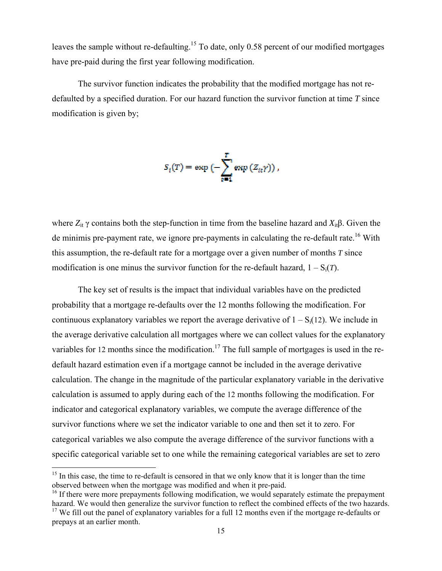leaves the sample without re-defaulting.<sup>15</sup> To date, only 0.58 percent of our modified mortgages have pre-paid during the first year following modification.

The survivor function indicates the probability that the modified mortgage has not redefaulted by a specified duration. For our hazard function the survivor function at time  $T$  since modification is given by;

$$
S_i(T) = \exp\left(-\sum_{t=1}^T \exp\left(Z_{it}\gamma\right)\right),\,
$$

where  $Z_{it}$   $\gamma$  contains both the step-function in time from the baseline hazard and  $X_{it}$ β. Given the de minimis pre-payment rate, we ignore pre-payments in calculating the re-default rate.<sup>16</sup> With this assumption, the re-default rate for a mortgage over a given number of months *T* since modification is one minus the survivor function for the re-default hazard,  $1 - S_i(T)$ .

The key set of results is the impact that individual variables have on the predicted probability that a mortgage re-defaults over the 12 months following the modification. For continuous explanatory variables we report the average derivative of  $1 - S_i(12)$ . We include in the average derivative calculation all mortgages where we can collect values for the explanatory variables for 12 months since the modification.<sup>17</sup> The full sample of mortgages is used in the redefault hazard estimation even if a mortgage cannot be included in the average derivative calculation. The change in the magnitude of the particular explanatory variable in the derivative calculation is assumed to apply during each of the 12 months following the modification. For indicator and categorical explanatory variables, we compute the average difference of the survivor functions where we set the indicator variable to one and then set it to zero. For categorical variables we also compute the average difference of the survivor functions with a specific categorical variable set to one while the remaining categorical variables are set to ze or<br>a<br>ero

 $15$  In this case, the time to re-default is censored in that we only know that it is longer than the time observed between when the mortgage was modified and when it pre-paid.

<sup>&</sup>lt;sup>16</sup> If there were more prepayments following modification, we would separately estimate the prepayment hazard. We would then generalize the survivor function to reflect the combined effects of the two hazards.

 $17$  We fill out the panel of explanatory variables for a full 12 months even if the mortgage re-defaults or prepays at an earlier month.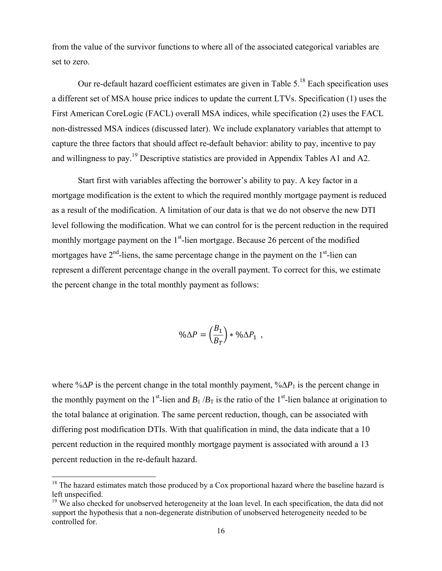from the value of the survivor functions to where all of the associated categorical variables are set to zero.

 Our re-default hazard coefficient estimates are given in Table 5.18 Each specification uses a different set of MSA house price indices to update the current LTVs. Specification (1) uses the First American CoreLogic (FACL) overall MSA indices, while specification (2) uses the FACL non-distressed MSA indices (discussed later). We include explanatory variables that attempt to capture the three factors that should affect re-default behavior: ability to pay, incentive to pay and willingness to pay.<sup>19</sup> Descriptive statistics are provided in Appendix Tables A1 and A2.

Start first with variables affecting the borrower's ability to pay. A key factor in a mortgage modification is the extent to which the required monthly mortgage payment is reduced as a result of the modification. A limitation of our data is that we do not observe the new DTI level following the modification. What we can control for is the percent reduction in the required monthly mortgage payment on the  $1<sup>st</sup>$ -lien mortgage. Because 26 percent of the modified mortgages have  $2<sup>nd</sup>$ -liens, the same percentage change in the payment on the  $1<sup>st</sup>$ -lien can represent a different percentage change in the overall payment. To correct for this, we estimate the percent change in the total monthly payment as follows:

$$
\% \Delta P = \left( \frac{B_1}{B_T} \right) * \% \Delta P_1 \ ,
$$

where %∆*P* is the percent change in the total monthly payment, %∆*P*1 is the percent change in the monthly payment on the 1<sup>st</sup>-lien and  $B_1/B_T$  is the ratio of the 1<sup>st</sup>-lien balance at origination to the total balance at origination. The same percent reduction, though, can be associated with differing post modification DTIs. With that qualification in mind, the data indicate that a 10 percent reduction in the required monthly mortgage payment is associated with around a 13 percent reduction in the re-default hazard.

 $18$  The hazard estimates match those produced by a Cox proportional hazard where the baseline hazard is left unspecified.

 $19$  We also checked for unobserved heterogeneity at the loan level. In each specification, the data did not support the hypothesis that a non-degenerate distribution of unobserved heterogeneity needed to be controlled for.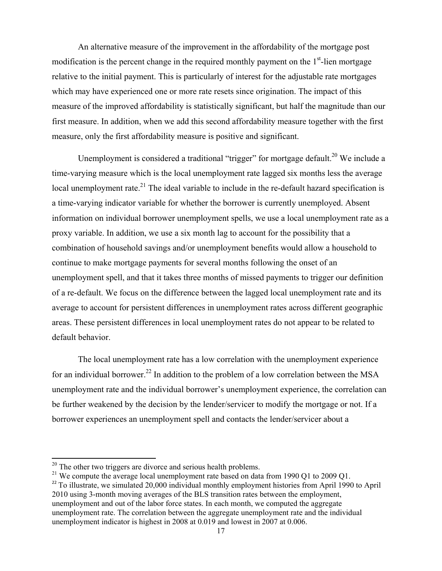An alternative measure of the improvement in the affordability of the mortgage post modification is the percent change in the required monthly payment on the  $1<sup>st</sup>$ -lien mortgage relative to the initial payment. This is particularly of interest for the adjustable rate mortgages which may have experienced one or more rate resets since origination. The impact of this measure of the improved affordability is statistically significant, but half the magnitude than our first measure. In addition, when we add this second affordability measure together with the first measure, only the first affordability measure is positive and significant.

Unemployment is considered a traditional "trigger" for mortgage default.<sup>20</sup> We include a time-varying measure which is the local unemployment rate lagged six months less the average local unemployment rate.<sup>21</sup> The ideal variable to include in the re-default hazard specification is a time-varying indicator variable for whether the borrower is currently unemployed. Absent information on individual borrower unemployment spells, we use a local unemployment rate as a proxy variable. In addition, we use a six month lag to account for the possibility that a combination of household savings and/or unemployment benefits would allow a household to continue to make mortgage payments for several months following the onset of an unemployment spell, and that it takes three months of missed payments to trigger our definition of a re-default. We focus on the difference between the lagged local unemployment rate and its average to account for persistent differences in unemployment rates across different geographic areas. These persistent differences in local unemployment rates do not appear to be related to default behavior.

The local unemployment rate has a low correlation with the unemployment experience for an individual borrower.<sup>22</sup> In addition to the problem of a low correlation between the MSA unemployment rate and the individual borrower's unemployment experience, the correlation can be further weakened by the decision by the lender/servicer to modify the mortgage or not. If a borrower experiences an unemployment spell and contacts the lender/servicer about a

 $20$  The other two triggers are divorce and serious health problems.

<sup>&</sup>lt;sup>21</sup> We compute the average local unemployment rate based on data from 1990 Q1 to 2009 Q1.

<sup>&</sup>lt;sup>22</sup> To illustrate, we simulated 20,000 individual monthly employment histories from April 1990 to April 2010 using 3-month moving averages of the BLS transition rates between the employment, unemployment and out of the labor force states. In each month, we computed the aggregate unemployment rate. The correlation between the aggregate unemployment rate and the individual unemployment indicator is highest in 2008 at 0.019 and lowest in 2007 at 0.006.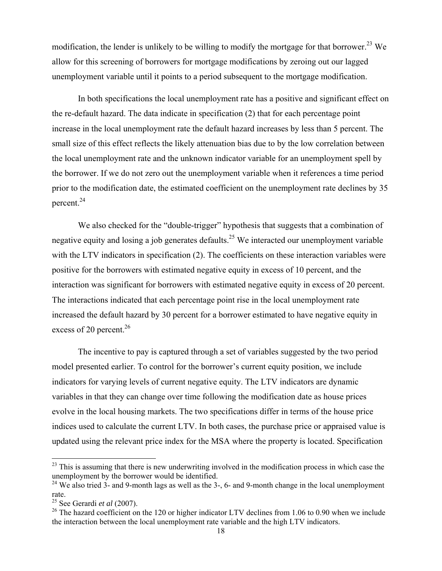modification, the lender is unlikely to be willing to modify the mortgage for that borrower.<sup>23</sup> We allow for this screening of borrowers for mortgage modifications by zeroing out our lagged unemployment variable until it points to a period subsequent to the mortgage modification.

In both specifications the local unemployment rate has a positive and significant effect on the re-default hazard. The data indicate in specification (2) that for each percentage point increase in the local unemployment rate the default hazard increases by less than 5 percent. The small size of this effect reflects the likely attenuation bias due to by the low correlation between the local unemployment rate and the unknown indicator variable for an unemployment spell by the borrower. If we do not zero out the unemployment variable when it references a time period prior to the modification date, the estimated coefficient on the unemployment rate declines by 35 percent.24

We also checked for the "double-trigger" hypothesis that suggests that a combination of negative equity and losing a job generates defaults.<sup>25</sup> We interacted our unemployment variable with the LTV indicators in specification (2). The coefficients on these interaction variables were positive for the borrowers with estimated negative equity in excess of 10 percent, and the interaction was significant for borrowers with estimated negative equity in excess of 20 percent. The interactions indicated that each percentage point rise in the local unemployment rate increased the default hazard by 30 percent for a borrower estimated to have negative equity in excess of 20 percent.<sup>26</sup>

The incentive to pay is captured through a set of variables suggested by the two period model presented earlier. To control for the borrower's current equity position, we include indicators for varying levels of current negative equity. The LTV indicators are dynamic variables in that they can change over time following the modification date as house prices evolve in the local housing markets. The two specifications differ in terms of the house price indices used to calculate the current LTV. In both cases, the purchase price or appraised value is updated using the relevant price index for the MSA where the property is located. Specification

 $23$  This is assuming that there is new underwriting involved in the modification process in which case the unemployment by the borrower would be identified.

 $24$  We also tried 3- and 9-month lags as well as the 3-, 6- and 9-month change in the local unemployment rate.

<sup>25</sup> See Gerardi *et al* (2007).

 $26$  The hazard coefficient on the 120 or higher indicator LTV declines from 1.06 to 0.90 when we include the interaction between the local unemployment rate variable and the high LTV indicators.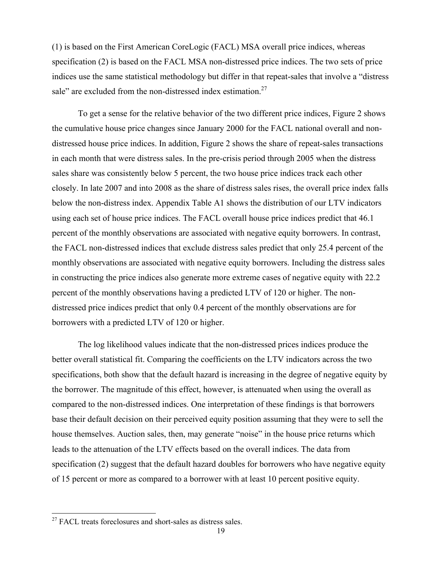(1) is based on the First American CoreLogic (FACL) MSA overall price indices, whereas specification (2) is based on the FACL MSA non-distressed price indices. The two sets of price indices use the same statistical methodology but differ in that repeat-sales that involve a "distress sale" are excluded from the non-distressed index estimation. $27$ 

To get a sense for the relative behavior of the two different price indices, Figure 2 shows the cumulative house price changes since January 2000 for the FACL national overall and nondistressed house price indices. In addition, Figure 2 shows the share of repeat-sales transactions in each month that were distress sales. In the pre-crisis period through 2005 when the distress sales share was consistently below 5 percent, the two house price indices track each other closely. In late 2007 and into 2008 as the share of distress sales rises, the overall price index falls below the non-distress index. Appendix Table A1 shows the distribution of our LTV indicators using each set of house price indices. The FACL overall house price indices predict that 46.1 percent of the monthly observations are associated with negative equity borrowers. In contrast, the FACL non-distressed indices that exclude distress sales predict that only 25.4 percent of the monthly observations are associated with negative equity borrowers. Including the distress sales in constructing the price indices also generate more extreme cases of negative equity with 22.2 percent of the monthly observations having a predicted LTV of 120 or higher. The nondistressed price indices predict that only 0.4 percent of the monthly observations are for borrowers with a predicted LTV of 120 or higher.

The log likelihood values indicate that the non-distressed prices indices produce the better overall statistical fit. Comparing the coefficients on the LTV indicators across the two specifications, both show that the default hazard is increasing in the degree of negative equity by the borrower. The magnitude of this effect, however, is attenuated when using the overall as compared to the non-distressed indices. One interpretation of these findings is that borrowers base their default decision on their perceived equity position assuming that they were to sell the house themselves. Auction sales, then, may generate "noise" in the house price returns which leads to the attenuation of the LTV effects based on the overall indices. The data from specification (2) suggest that the default hazard doubles for borrowers who have negative equity of 15 percent or more as compared to a borrower with at least 10 percent positive equity.

<sup>&</sup>lt;sup>27</sup> FACL treats foreclosures and short-sales as distress sales.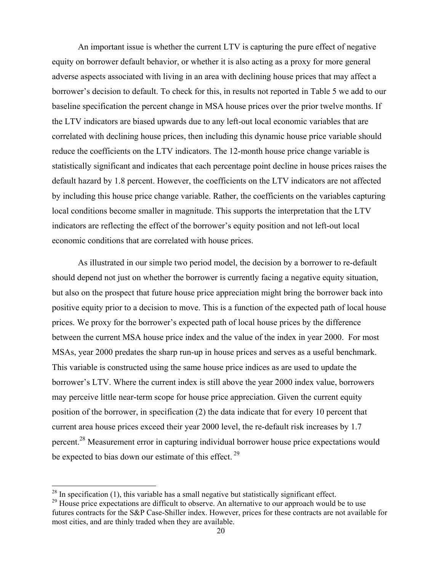An important issue is whether the current LTV is capturing the pure effect of negative equity on borrower default behavior, or whether it is also acting as a proxy for more general adverse aspects associated with living in an area with declining house prices that may affect a borrower's decision to default. To check for this, in results not reported in Table 5 we add to our baseline specification the percent change in MSA house prices over the prior twelve months. If the LTV indicators are biased upwards due to any left-out local economic variables that are correlated with declining house prices, then including this dynamic house price variable should reduce the coefficients on the LTV indicators. The 12-month house price change variable is statistically significant and indicates that each percentage point decline in house prices raises the default hazard by 1.8 percent. However, the coefficients on the LTV indicators are not affected by including this house price change variable. Rather, the coefficients on the variables capturing local conditions become smaller in magnitude. This supports the interpretation that the LTV indicators are reflecting the effect of the borrower's equity position and not left-out local economic conditions that are correlated with house prices.

As illustrated in our simple two period model, the decision by a borrower to re-default should depend not just on whether the borrower is currently facing a negative equity situation, but also on the prospect that future house price appreciation might bring the borrower back into positive equity prior to a decision to move. This is a function of the expected path of local house prices. We proxy for the borrower's expected path of local house prices by the difference between the current MSA house price index and the value of the index in year 2000. For most MSAs, year 2000 predates the sharp run-up in house prices and serves as a useful benchmark. This variable is constructed using the same house price indices as are used to update the borrower's LTV. Where the current index is still above the year 2000 index value, borrowers may perceive little near-term scope for house price appreciation. Given the current equity position of the borrower, in specification (2) the data indicate that for every 10 percent that current area house prices exceed their year 2000 level, the re-default risk increases by 1.7 percent.28 Measurement error in capturing individual borrower house price expectations would be expected to bias down our estimate of this effect.  $29$ 

 $^{28}$  In specification (1), this variable has a small negative but statistically significant effect.

 $29$  House price expectations are difficult to observe. An alternative to our approach would be to use futures contracts for the S&P Case-Shiller index. However, prices for these contracts are not available for most cities, and are thinly traded when they are available.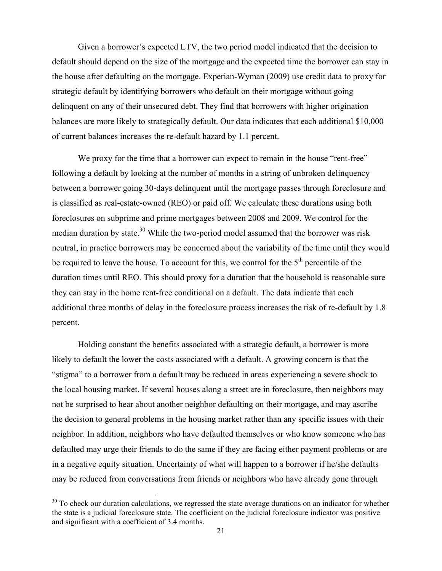Given a borrower's expected LTV, the two period model indicated that the decision to default should depend on the size of the mortgage and the expected time the borrower can stay in the house after defaulting on the mortgage. Experian-Wyman (2009) use credit data to proxy for strategic default by identifying borrowers who default on their mortgage without going delinquent on any of their unsecured debt. They find that borrowers with higher origination balances are more likely to strategically default. Our data indicates that each additional \$10,000 of current balances increases the re-default hazard by 1.1 percent.

We proxy for the time that a borrower can expect to remain in the house "rent-free" following a default by looking at the number of months in a string of unbroken delinquency between a borrower going 30-days delinquent until the mortgage passes through foreclosure and is classified as real-estate-owned (REO) or paid off. We calculate these durations using both foreclosures on subprime and prime mortgages between 2008 and 2009. We control for the median duration by state.<sup>30</sup> While the two-period model assumed that the borrower was risk neutral, in practice borrowers may be concerned about the variability of the time until they would be required to leave the house. To account for this, we control for the  $5<sup>th</sup>$  percentile of the duration times until REO. This should proxy for a duration that the household is reasonable sure they can stay in the home rent-free conditional on a default. The data indicate that each additional three months of delay in the foreclosure process increases the risk of re-default by 1.8 percent.

Holding constant the benefits associated with a strategic default, a borrower is more likely to default the lower the costs associated with a default. A growing concern is that the "stigma" to a borrower from a default may be reduced in areas experiencing a severe shock to the local housing market. If several houses along a street are in foreclosure, then neighbors may not be surprised to hear about another neighbor defaulting on their mortgage, and may ascribe the decision to general problems in the housing market rather than any specific issues with their neighbor. In addition, neighbors who have defaulted themselves or who know someone who has defaulted may urge their friends to do the same if they are facing either payment problems or are in a negative equity situation. Uncertainty of what will happen to a borrower if he/she defaults may be reduced from conversations from friends or neighbors who have already gone through

 $30$  To check our duration calculations, we regressed the state average durations on an indicator for whether the state is a judicial foreclosure state. The coefficient on the judicial foreclosure indicator was positive and significant with a coefficient of 3.4 months.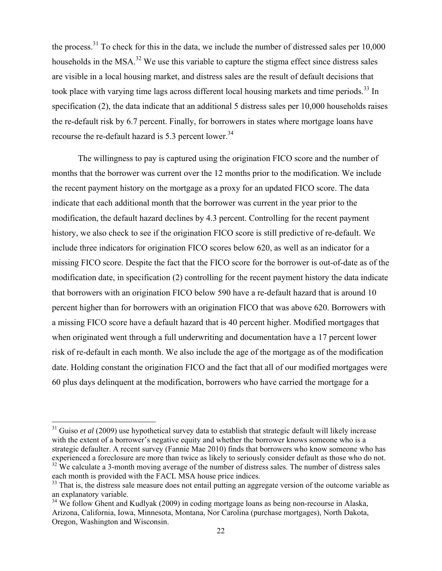the process.<sup>31</sup> To check for this in the data, we include the number of distressed sales per  $10,000$ households in the MSA.<sup>32</sup> We use this variable to capture the stigma effect since distress sales are visible in a local housing market, and distress sales are the result of default decisions that took place with varying time lags across different local housing markets and time periods.<sup>33</sup> In specification (2), the data indicate that an additional 5 distress sales per 10,000 households raises the re-default risk by 6.7 percent. Finally, for borrowers in states where mortgage loans have recourse the re-default hazard is 5.3 percent lower.<sup>34</sup>

The willingness to pay is captured using the origination FICO score and the number of months that the borrower was current over the 12 months prior to the modification. We include the recent payment history on the mortgage as a proxy for an updated FICO score. The data indicate that each additional month that the borrower was current in the year prior to the modification, the default hazard declines by 4.3 percent. Controlling for the recent payment history, we also check to see if the origination FICO score is still predictive of re-default. We include three indicators for origination FICO scores below 620, as well as an indicator for a missing FICO score. Despite the fact that the FICO score for the borrower is out-of-date as of the modification date, in specification (2) controlling for the recent payment history the data indicate that borrowers with an origination FICO below 590 have a re-default hazard that is around 10 percent higher than for borrowers with an origination FICO that was above 620. Borrowers with a missing FICO score have a default hazard that is 40 percent higher. Modified mortgages that when originated went through a full underwriting and documentation have a 17 percent lower risk of re-default in each month. We also include the age of the mortgage as of the modification date. Holding constant the origination FICO and the fact that all of our modified mortgages were 60 plus days delinquent at the modification, borrowers who have carried the mortgage for a

each month is provided with the FACL MSA house price indices.

<sup>&</sup>lt;sup>31</sup> Guiso *et al* (2009) use hypothetical survey data to establish that strategic default will likely increase with the extent of a borrower's negative equity and whether the borrower knows someone who is a strategic defaulter. A recent survey (Fannie Mae 2010) finds that borrowers who know someone who has experienced a foreclosure are more than twice as likely to seriously consider default as those who do not. <sup>32</sup> We calculate a 3-month moving average of the number of distress sales. The number of distress sales

<sup>&</sup>lt;sup>33</sup> That is, the distress sale measure does not entail putting an aggregate version of the outcome variable as an explanatory variable.

<sup>&</sup>lt;sup>34</sup> We follow Ghent and Kudlyak (2009) in coding mortgage loans as being non-recourse in Alaska, Arizona, California, Iowa, Minnesota, Montana, Nor Carolina (purchase mortgages), North Dakota, Oregon, Washington and Wisconsin.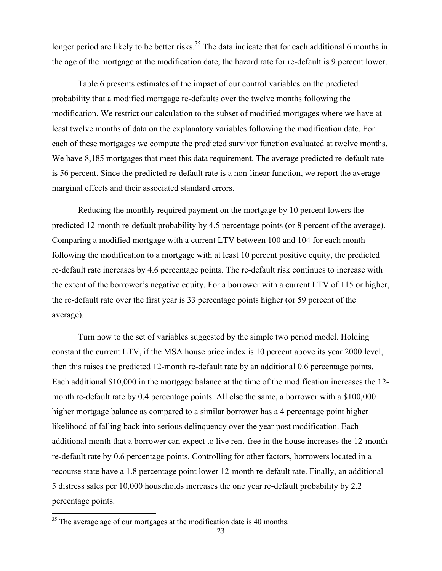longer period are likely to be better risks.<sup>35</sup> The data indicate that for each additional 6 months in the age of the mortgage at the modification date, the hazard rate for re-default is 9 percent lower.

Table 6 presents estimates of the impact of our control variables on the predicted probability that a modified mortgage re-defaults over the twelve months following the modification. We restrict our calculation to the subset of modified mortgages where we have at least twelve months of data on the explanatory variables following the modification date. For each of these mortgages we compute the predicted survivor function evaluated at twelve months. We have 8,185 mortgages that meet this data requirement. The average predicted re-default rate is 56 percent. Since the predicted re-default rate is a non-linear function, we report the average marginal effects and their associated standard errors.

Reducing the monthly required payment on the mortgage by 10 percent lowers the predicted 12-month re-default probability by 4.5 percentage points (or 8 percent of the average). Comparing a modified mortgage with a current LTV between 100 and 104 for each month following the modification to a mortgage with at least 10 percent positive equity, the predicted re-default rate increases by 4.6 percentage points. The re-default risk continues to increase with the extent of the borrower's negative equity. For a borrower with a current LTV of 115 or higher, the re-default rate over the first year is 33 percentage points higher (or 59 percent of the average).

Turn now to the set of variables suggested by the simple two period model. Holding constant the current LTV, if the MSA house price index is 10 percent above its year 2000 level, then this raises the predicted 12-month re-default rate by an additional 0.6 percentage points. Each additional \$10,000 in the mortgage balance at the time of the modification increases the 12 month re-default rate by 0.4 percentage points. All else the same, a borrower with a \$100,000 higher mortgage balance as compared to a similar borrower has a 4 percentage point higher likelihood of falling back into serious delinquency over the year post modification. Each additional month that a borrower can expect to live rent-free in the house increases the 12-month re-default rate by 0.6 percentage points. Controlling for other factors, borrowers located in a recourse state have a 1.8 percentage point lower 12-month re-default rate. Finally, an additional 5 distress sales per 10,000 households increases the one year re-default probability by 2.2 percentage points.

 $35$  The average age of our mortgages at the modification date is 40 months.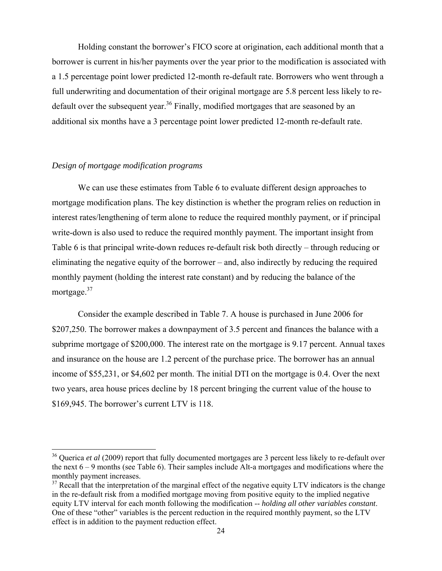Holding constant the borrower's FICO score at origination, each additional month that a borrower is current in his/her payments over the year prior to the modification is associated with a 1.5 percentage point lower predicted 12-month re-default rate. Borrowers who went through a full underwriting and documentation of their original mortgage are 5.8 percent less likely to redefault over the subsequent year.<sup>36</sup> Finally, modified mortgages that are seasoned by an additional six months have a 3 percentage point lower predicted 12-month re-default rate.

#### *Design of mortgage modification programs*

 We can use these estimates from Table 6 to evaluate different design approaches to mortgage modification plans. The key distinction is whether the program relies on reduction in interest rates/lengthening of term alone to reduce the required monthly payment, or if principal write-down is also used to reduce the required monthly payment. The important insight from Table 6 is that principal write-down reduces re-default risk both directly – through reducing or eliminating the negative equity of the borrower – and, also indirectly by reducing the required monthly payment (holding the interest rate constant) and by reducing the balance of the mortgage.<sup>37</sup>

 Consider the example described in Table 7. A house is purchased in June 2006 for \$207,250. The borrower makes a downpayment of 3.5 percent and finances the balance with a subprime mortgage of \$200,000. The interest rate on the mortgage is 9.17 percent. Annual taxes and insurance on the house are 1.2 percent of the purchase price. The borrower has an annual income of \$55,231, or \$4,602 per month. The initial DTI on the mortgage is 0.4. Over the next two years, area house prices decline by 18 percent bringing the current value of the house to \$169,945. The borrower's current LTV is 118.

<sup>&</sup>lt;sup>36</sup> Querica *et al* (2009) report that fully documented mortgages are 3 percent less likely to re-default over the next 6 – 9 months (see Table 6). Their samples include Alt-a mortgages and modifications where the monthly payment increases.

 $37$  Recall that the interpretation of the marginal effect of the negative equity LTV indicators is the change in the re-default risk from a modified mortgage moving from positive equity to the implied negative equity LTV interval for each month following the modification -- *holding all other variables constant*. One of these "other" variables is the percent reduction in the required monthly payment, so the LTV effect is in addition to the payment reduction effect.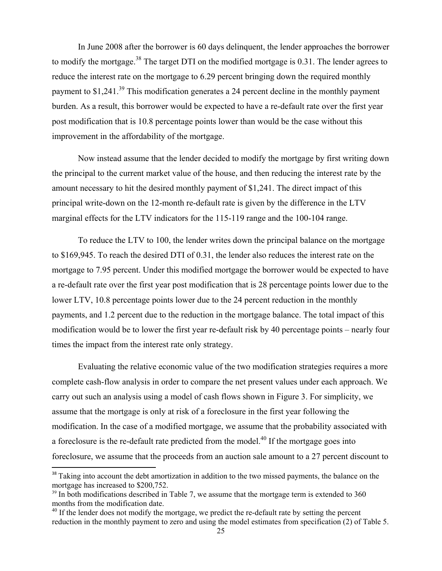In June 2008 after the borrower is 60 days delinquent, the lender approaches the borrower to modify the mortgage.<sup>38</sup> The target DTI on the modified mortgage is 0.31. The lender agrees to reduce the interest rate on the mortgage to 6.29 percent bringing down the required monthly payment to \$1,241.<sup>39</sup> This modification generates a 24 percent decline in the monthly payment burden. As a result, this borrower would be expected to have a re-default rate over the first year post modification that is 10.8 percentage points lower than would be the case without this improvement in the affordability of the mortgage.

 Now instead assume that the lender decided to modify the mortgage by first writing down the principal to the current market value of the house, and then reducing the interest rate by the amount necessary to hit the desired monthly payment of \$1,241. The direct impact of this principal write-down on the 12-month re-default rate is given by the difference in the LTV marginal effects for the LTV indicators for the 115-119 range and the 100-104 range.

 To reduce the LTV to 100, the lender writes down the principal balance on the mortgage to \$169,945. To reach the desired DTI of 0.31, the lender also reduces the interest rate on the mortgage to 7.95 percent. Under this modified mortgage the borrower would be expected to have a re-default rate over the first year post modification that is 28 percentage points lower due to the lower LTV, 10.8 percentage points lower due to the 24 percent reduction in the monthly payments, and 1.2 percent due to the reduction in the mortgage balance. The total impact of this modification would be to lower the first year re-default risk by 40 percentage points – nearly four times the impact from the interest rate only strategy.

 Evaluating the relative economic value of the two modification strategies requires a more complete cash-flow analysis in order to compare the net present values under each approach. We carry out such an analysis using a model of cash flows shown in Figure 3. For simplicity, we assume that the mortgage is only at risk of a foreclosure in the first year following the modification. In the case of a modified mortgage, we assume that the probability associated with a foreclosure is the re-default rate predicted from the model.<sup>40</sup> If the mortgage goes into foreclosure, we assume that the proceeds from an auction sale amount to a 27 percent discount to

<sup>&</sup>lt;sup>38</sup> Taking into account the debt amortization in addition to the two missed payments, the balance on the mortgage has increased to \$200,752.

 $39$  In both modifications described in Table 7, we assume that the mortgage term is extended to 360 months from the modification date.

<sup>&</sup>lt;sup>40</sup> If the lender does not modify the mortgage, we predict the re-default rate by setting the percent reduction in the monthly payment to zero and using the model estimates from specification (2) of Table 5.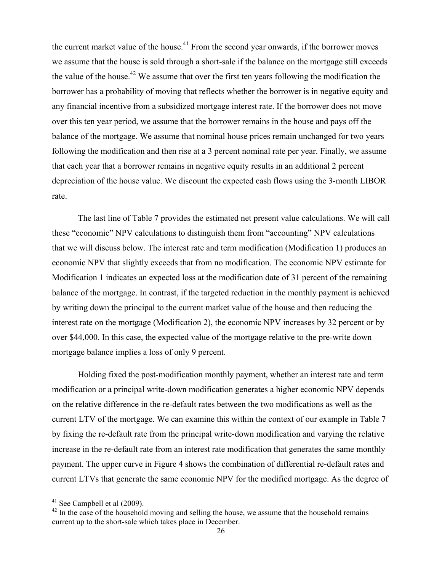the current market value of the house.<sup>41</sup> From the second year onwards, if the borrower moves we assume that the house is sold through a short-sale if the balance on the mortgage still exceeds the value of the house.<sup>42</sup> We assume that over the first ten years following the modification the borrower has a probability of moving that reflects whether the borrower is in negative equity and any financial incentive from a subsidized mortgage interest rate. If the borrower does not move over this ten year period, we assume that the borrower remains in the house and pays off the balance of the mortgage. We assume that nominal house prices remain unchanged for two years following the modification and then rise at a 3 percent nominal rate per year. Finally, we assume that each year that a borrower remains in negative equity results in an additional 2 percent depreciation of the house value. We discount the expected cash flows using the 3-month LIBOR rate.

The last line of Table 7 provides the estimated net present value calculations. We will call these "economic" NPV calculations to distinguish them from "accounting" NPV calculations that we will discuss below. The interest rate and term modification (Modification 1) produces an economic NPV that slightly exceeds that from no modification. The economic NPV estimate for Modification 1 indicates an expected loss at the modification date of 31 percent of the remaining balance of the mortgage. In contrast, if the targeted reduction in the monthly payment is achieved by writing down the principal to the current market value of the house and then reducing the interest rate on the mortgage (Modification 2), the economic NPV increases by 32 percent or by over \$44,000. In this case, the expected value of the mortgage relative to the pre-write down mortgage balance implies a loss of only 9 percent.

Holding fixed the post-modification monthly payment, whether an interest rate and term modification or a principal write-down modification generates a higher economic NPV depends on the relative difference in the re-default rates between the two modifications as well as the current LTV of the mortgage. We can examine this within the context of our example in Table 7 by fixing the re-default rate from the principal write-down modification and varying the relative increase in the re-default rate from an interest rate modification that generates the same monthly payment. The upper curve in Figure 4 shows the combination of differential re-default rates and current LTVs that generate the same economic NPV for the modified mortgage. As the degree of

 $41$  See Campbell et al (2009).

 $42$  In the case of the household moving and selling the house, we assume that the household remains current up to the short-sale which takes place in December.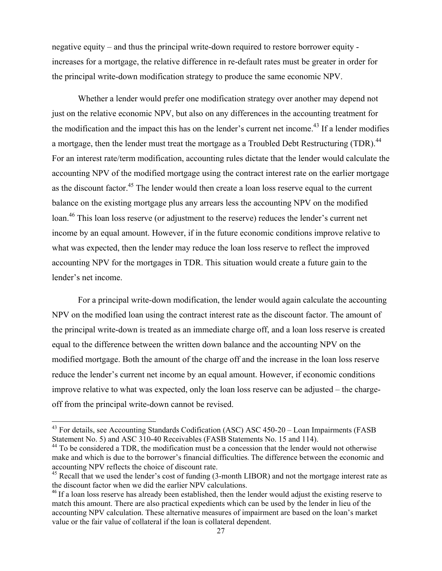negative equity – and thus the principal write-down required to restore borrower equity increases for a mortgage, the relative difference in re-default rates must be greater in order for the principal write-down modification strategy to produce the same economic NPV.

Whether a lender would prefer one modification strategy over another may depend not just on the relative economic NPV, but also on any differences in the accounting treatment for the modification and the impact this has on the lender's current net income.<sup>43</sup> If a lender modifies a mortgage, then the lender must treat the mortgage as a Troubled Debt Restructuring (TDR).<sup>44</sup> For an interest rate/term modification, accounting rules dictate that the lender would calculate the accounting NPV of the modified mortgage using the contract interest rate on the earlier mortgage as the discount factor.<sup>45</sup> The lender would then create a loan loss reserve equal to the current balance on the existing mortgage plus any arrears less the accounting NPV on the modified loan.<sup>46</sup> This loan loss reserve (or adjustment to the reserve) reduces the lender's current net income by an equal amount. However, if in the future economic conditions improve relative to what was expected, then the lender may reduce the loan loss reserve to reflect the improved accounting NPV for the mortgages in TDR. This situation would create a future gain to the lender's net income.

For a principal write-down modification, the lender would again calculate the accounting NPV on the modified loan using the contract interest rate as the discount factor. The amount of the principal write-down is treated as an immediate charge off, and a loan loss reserve is created equal to the difference between the written down balance and the accounting NPV on the modified mortgage. Both the amount of the charge off and the increase in the loan loss reserve reduce the lender's current net income by an equal amount. However, if economic conditions improve relative to what was expected, only the loan loss reserve can be adjusted – the chargeoff from the principal write-down cannot be revised.

<sup>&</sup>lt;sup>43</sup> For details, see Accounting Standards Codification (ASC) ASC 450-20 – Loan Impairments (FASB Statement No. 5) and ASC 310-40 Receivables (FASB Statements No. 15 and 114).

<sup>&</sup>lt;sup>44</sup> To be considered a TDR, the modification must be a concession that the lender would not otherwise make and which is due to the borrower's financial difficulties. The difference between the economic and accounting NPV reflects the choice of discount rate.

<sup>&</sup>lt;sup>45</sup> Recall that we used the lender's cost of funding (3-month LIBOR) and not the mortgage interest rate as the discount factor when we did the earlier NPV calculations.

<sup>&</sup>lt;sup>46</sup> If a loan loss reserve has already been established, then the lender would adjust the existing reserve to match this amount. There are also practical expedients which can be used by the lender in lieu of the accounting NPV calculation. These alternative measures of impairment are based on the loan's market value or the fair value of collateral if the loan is collateral dependent.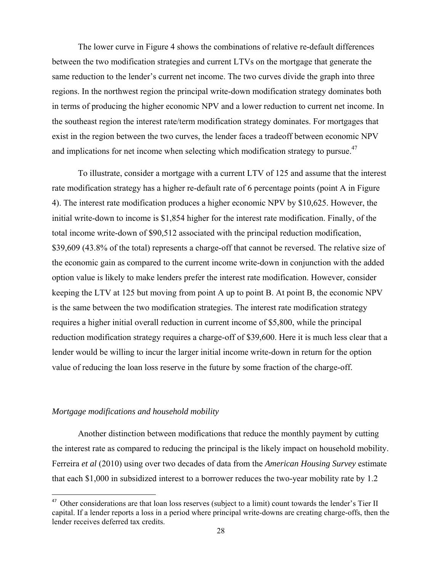The lower curve in Figure 4 shows the combinations of relative re-default differences between the two modification strategies and current LTVs on the mortgage that generate the same reduction to the lender's current net income. The two curves divide the graph into three regions. In the northwest region the principal write-down modification strategy dominates both in terms of producing the higher economic NPV and a lower reduction to current net income. In the southeast region the interest rate/term modification strategy dominates. For mortgages that exist in the region between the two curves, the lender faces a tradeoff between economic NPV and implications for net income when selecting which modification strategy to pursue.<sup>47</sup>

To illustrate, consider a mortgage with a current LTV of 125 and assume that the interest rate modification strategy has a higher re-default rate of 6 percentage points (point A in Figure 4). The interest rate modification produces a higher economic NPV by \$10,625. However, the initial write-down to income is \$1,854 higher for the interest rate modification. Finally, of the total income write-down of \$90,512 associated with the principal reduction modification, \$39,609 (43.8% of the total) represents a charge-off that cannot be reversed. The relative size of the economic gain as compared to the current income write-down in conjunction with the added option value is likely to make lenders prefer the interest rate modification. However, consider keeping the LTV at 125 but moving from point A up to point B. At point B, the economic NPV is the same between the two modification strategies. The interest rate modification strategy requires a higher initial overall reduction in current income of \$5,800, while the principal reduction modification strategy requires a charge-off of \$39,600. Here it is much less clear that a lender would be willing to incur the larger initial income write-down in return for the option value of reducing the loan loss reserve in the future by some fraction of the charge-off.

#### *Mortgage modifications and household mobility*

Another distinction between modifications that reduce the monthly payment by cutting the interest rate as compared to reducing the principal is the likely impact on household mobility. Ferreira *et al* (2010) using over two decades of data from the *American Housing Survey* estimate that each \$1,000 in subsidized interest to a borrower reduces the two-year mobility rate by 1.2

<sup>&</sup>lt;sup>47</sup> Other considerations are that loan loss reserves (subject to a limit) count towards the lender's Tier II capital. If a lender reports a loss in a period where principal write-downs are creating charge-offs, then the lender receives deferred tax credits.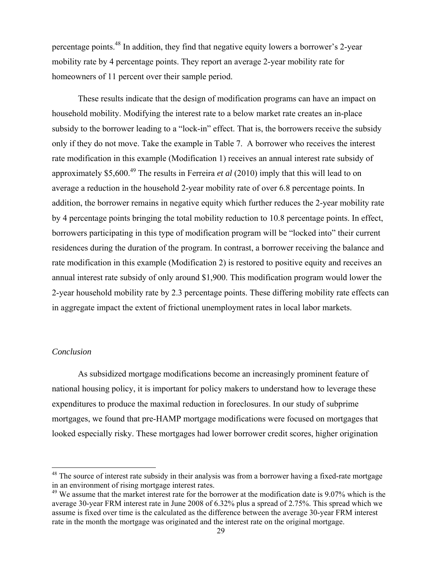percentage points.48 In addition, they find that negative equity lowers a borrower's 2-year mobility rate by 4 percentage points. They report an average 2-year mobility rate for homeowners of 11 percent over their sample period.

These results indicate that the design of modification programs can have an impact on household mobility. Modifying the interest rate to a below market rate creates an in-place subsidy to the borrower leading to a "lock-in" effect. That is, the borrowers receive the subsidy only if they do not move. Take the example in Table 7. A borrower who receives the interest rate modification in this example (Modification 1) receives an annual interest rate subsidy of approximately \$5,600.49 The results in Ferreira *et al* (2010) imply that this will lead to on average a reduction in the household 2-year mobility rate of over 6.8 percentage points. In addition, the borrower remains in negative equity which further reduces the 2-year mobility rate by 4 percentage points bringing the total mobility reduction to 10.8 percentage points. In effect, borrowers participating in this type of modification program will be "locked into" their current residences during the duration of the program. In contrast, a borrower receiving the balance and rate modification in this example (Modification 2) is restored to positive equity and receives an annual interest rate subsidy of only around \$1,900. This modification program would lower the 2-year household mobility rate by 2.3 percentage points. These differing mobility rate effects can in aggregate impact the extent of frictional unemployment rates in local labor markets.

### *Conclusion*

As subsidized mortgage modifications become an increasingly prominent feature of national housing policy, it is important for policy makers to understand how to leverage these expenditures to produce the maximal reduction in foreclosures. In our study of subprime mortgages, we found that pre-HAMP mortgage modifications were focused on mortgages that looked especially risky. These mortgages had lower borrower credit scores, higher origination

<sup>&</sup>lt;sup>48</sup> The source of interest rate subsidy in their analysis was from a borrower having a fixed-rate mortgage in an environment of rising mortgage interest rates.

 $49$  We assume that the market interest rate for the borrower at the modification date is 9.07% which is the average 30-year FRM interest rate in June 2008 of 6.32% plus a spread of 2.75%. This spread which we assume is fixed over time is the calculated as the difference between the average 30-year FRM interest rate in the month the mortgage was originated and the interest rate on the original mortgage.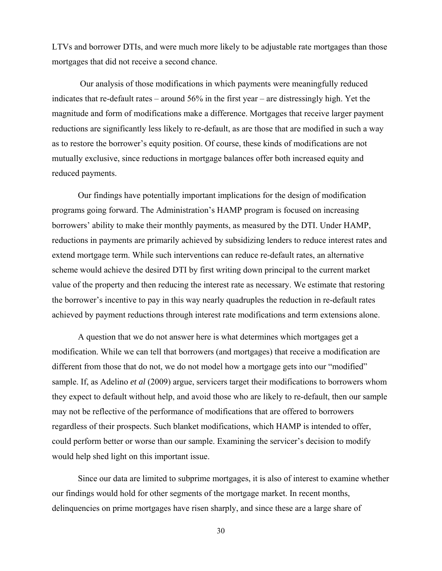LTVs and borrower DTIs, and were much more likely to be adjustable rate mortgages than those mortgages that did not receive a second chance.

 Our analysis of those modifications in which payments were meaningfully reduced indicates that re-default rates – around 56% in the first year – are distressingly high. Yet the magnitude and form of modifications make a difference. Mortgages that receive larger payment reductions are significantly less likely to re-default, as are those that are modified in such a way as to restore the borrower's equity position. Of course, these kinds of modifications are not mutually exclusive, since reductions in mortgage balances offer both increased equity and reduced payments.

Our findings have potentially important implications for the design of modification programs going forward. The Administration's HAMP program is focused on increasing borrowers' ability to make their monthly payments, as measured by the DTI. Under HAMP, reductions in payments are primarily achieved by subsidizing lenders to reduce interest rates and extend mortgage term. While such interventions can reduce re-default rates, an alternative scheme would achieve the desired DTI by first writing down principal to the current market value of the property and then reducing the interest rate as necessary. We estimate that restoring the borrower's incentive to pay in this way nearly quadruples the reduction in re-default rates achieved by payment reductions through interest rate modifications and term extensions alone.

A question that we do not answer here is what determines which mortgages get a modification. While we can tell that borrowers (and mortgages) that receive a modification are different from those that do not, we do not model how a mortgage gets into our "modified" sample. If, as Adelino *et al* (2009) argue, servicers target their modifications to borrowers whom they expect to default without help, and avoid those who are likely to re-default, then our sample may not be reflective of the performance of modifications that are offered to borrowers regardless of their prospects. Such blanket modifications, which HAMP is intended to offer, could perform better or worse than our sample. Examining the servicer's decision to modify would help shed light on this important issue.

Since our data are limited to subprime mortgages, it is also of interest to examine whether our findings would hold for other segments of the mortgage market. In recent months, delinquencies on prime mortgages have risen sharply, and since these are a large share of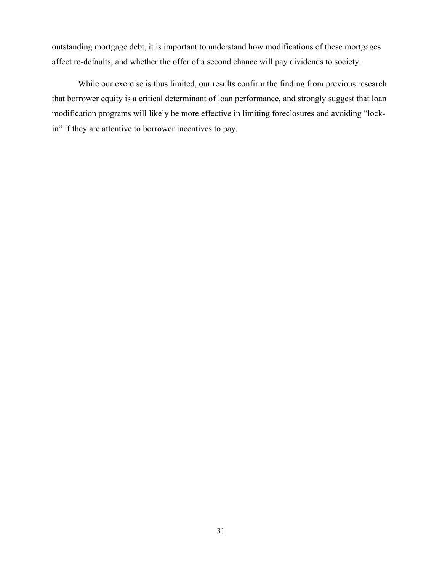outstanding mortgage debt, it is important to understand how modifications of these mortgages affect re-defaults, and whether the offer of a second chance will pay dividends to society.

While our exercise is thus limited, our results confirm the finding from previous research that borrower equity is a critical determinant of loan performance, and strongly suggest that loan modification programs will likely be more effective in limiting foreclosures and avoiding "lockin" if they are attentive to borrower incentives to pay.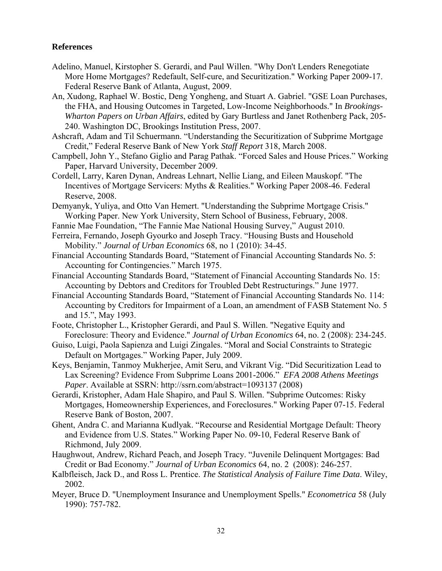## **References**

- Adelino, Manuel, Kirstopher S. Gerardi, and Paul Willen. "Why Don't Lenders Renegotiate More Home Mortgages? Redefault, Self-cure, and Securitization." Working Paper 2009-17. Federal Reserve Bank of Atlanta, August, 2009.
- An, Xudong, Raphael W. Bostic, Deng Yongheng, and Stuart A. Gabriel. "GSE Loan Purchases, the FHA, and Housing Outcomes in Targeted, Low-Income Neighborhoods." In *Brookings-Wharton Papers on Urban Affairs*, edited by Gary Burtless and Janet Rothenberg Pack, 205- 240. Washington DC, Brookings Institution Press, 2007.
- Ashcraft, Adam and Til Schuermann. "Understanding the Securitization of Subprime Mortgage Credit," Federal Reserve Bank of New York *Staff Report* 318, March 2008.
- Campbell, John Y., Stefano Giglio and Parag Pathak. "Forced Sales and House Prices." Working Paper, Harvard University, December 2009.
- Cordell, Larry, Karen Dynan, Andreas Lehnart, Nellie Liang, and Eileen Mauskopf. "The Incentives of Mortgage Servicers: Myths & Realities." Working Paper 2008-46. Federal Reserve, 2008.
- Demyanyk, Yuliya, and Otto Van Hemert. "Understanding the Subprime Mortgage Crisis." Working Paper. New York University, Stern School of Business, February, 2008.
- Fannie Mae Foundation, "The Fannie Mae National Housing Survey," August 2010.
- Ferreira, Fernando, Joseph Gyourko and Joseph Tracy. "Housing Busts and Household Mobility." *Journal of Urban Economics* 68, no 1 (2010): 34-45.
- Financial Accounting Standards Board, "Statement of Financial Accounting Standards No. 5: Accounting for Contingencies." March 1975.
- Financial Accounting Standards Board, "Statement of Financial Accounting Standards No. 15: Accounting by Debtors and Creditors for Troubled Debt Restructurings." June 1977.
- Financial Accounting Standards Board, "Statement of Financial Accounting Standards No. 114: Accounting by Creditors for Impairment of a Loan, an amendment of FASB Statement No. 5 and 15.", May 1993.
- Foote, Christopher L., Kristopher Gerardi, and Paul S. Willen. "Negative Equity and Foreclosure: Theory and Evidence." *Journal of Urban Economics* 64, no. 2 (2008): 234-245.
- Guiso, Luigi, Paola Sapienza and Luigi Zingales. "Moral and Social Constraints to Strategic Default on Mortgages." Working Paper, July 2009.
- Keys, Benjamin, Tanmoy Mukherjee, Amit Seru, and Vikrant Vig. "Did Securitization Lead to Lax Screening? Evidence From Subprime Loans 2001-2006." *EFA 2008 Athens Meetings Paper.* Available at SSRN: http://ssrn.com/abstract=1093137 (2008)
- Gerardi, Kristopher, Adam Hale Shapiro, and Paul S. Willen. "Subprime Outcomes: Risky Mortgages, Homeownership Experiences, and Foreclosures." Working Paper 07-15. Federal Reserve Bank of Boston, 2007.
- Ghent, Andra C. and Marianna Kudlyak. "Recourse and Residential Mortgage Default: Theory and Evidence from U.S. States." Working Paper No. 09-10, Federal Reserve Bank of Richmond, July 2009.
- Haughwout, Andrew, Richard Peach, and Joseph Tracy. "Juvenile Delinquent Mortgages: Bad Credit or Bad Economy." *Journal of Urban Economics* 64, no. 2 (2008): 246-257.
- Kalbfleisch, Jack D., and Ross L. Prentice. *The Statistical Analysis of Failure Time Data*. Wiley, 2002.
- Meyer, Bruce D. "Unemployment Insurance and Unemployment Spells." *Econometrica* 58 (July 1990): 757-782.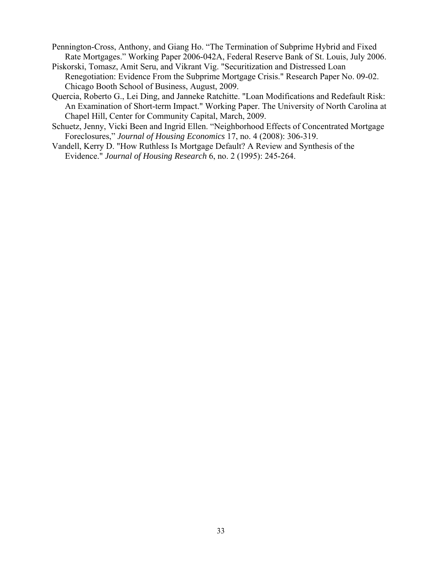Pennington-Cross, Anthony, and Giang Ho. "The Termination of Subprime Hybrid and Fixed Rate Mortgages." Working Paper 2006-042A, Federal Reserve Bank of St. Louis, July 2006.

- Piskorski, Tomasz, Amit Seru, and Vikrant Vig. "Securitization and Distressed Loan Renegotiation: Evidence From the Subprime Mortgage Crisis." Research Paper No. 09-02. Chicago Booth School of Business, August, 2009.
- Quercia, Roberto G., Lei Ding, and Janneke Ratchitte. "Loan Modifications and Redefault Risk: An Examination of Short-term Impact." Working Paper. The University of North Carolina at Chapel Hill, Center for Community Capital, March, 2009.
- Schuetz, Jenny, Vicki Been and Ingrid Ellen. "Neighborhood Effects of Concentrated Mortgage Foreclosures," *Journal of Housing Economics* 17, no. 4 (2008): 306-319.
- Vandell, Kerry D. "How Ruthless Is Mortgage Default? A Review and Synthesis of the Evidence." *Journal of Housing Research* 6, no. 2 (1995): 245-264.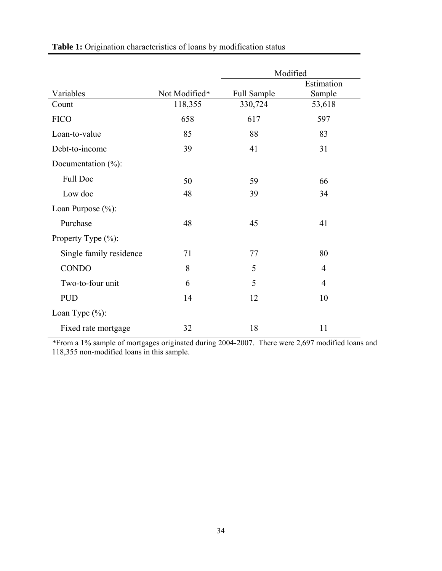|                         |               | Modified    |                |  |
|-------------------------|---------------|-------------|----------------|--|
|                         |               |             | Estimation     |  |
| Variables               | Not Modified* | Full Sample | Sample         |  |
| Count                   | 118,355       | 330,724     | 53,618         |  |
| <b>FICO</b>             | 658           | 617         | 597            |  |
| Loan-to-value           | 85            | 88          | 83             |  |
| Debt-to-income          | 39            | 41          | 31             |  |
| Documentation $(\%):$   |               |             |                |  |
| <b>Full Doc</b>         | 50            | 59          | 66             |  |
| Low doc                 | 48            | 39          | 34             |  |
| Loan Purpose (%):       |               |             |                |  |
| Purchase                | 48            | 45          | 41             |  |
| Property Type $(\% )$ : |               |             |                |  |
| Single family residence | 71            | 77          | 80             |  |
| <b>CONDO</b>            | 8             | 5           | 4              |  |
| Two-to-four unit        | 6             | 5           | $\overline{4}$ |  |
| <b>PUD</b>              | 14            | 12          | 10             |  |
| Loan Type $(\%):$       |               |             |                |  |
| Fixed rate mortgage     | 32            | 18          | 11             |  |

Table 1: Origination characteristics of loans by modification status

*\**From a 1% sample of mortgages originated during 2004-2007. There were 2,697 modified loans and 118,355 non-modified loans in this sample.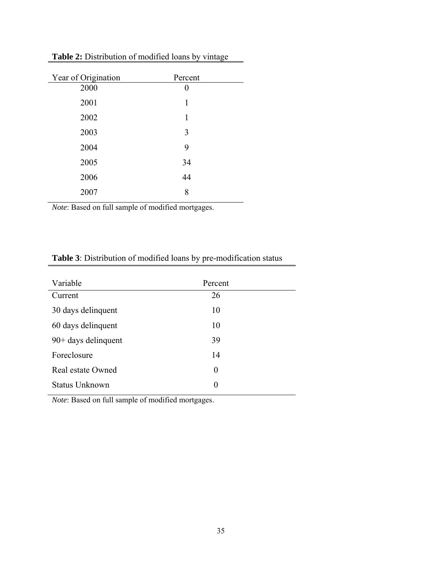| Year of Origination | Percent      |  |
|---------------------|--------------|--|
| 2000                | $\mathbf{0}$ |  |
| 2001                | 1            |  |
| 2002                | 1            |  |
| 2003                | 3            |  |
| 2004                | 9            |  |
| 2005                | 34           |  |
| 2006                | 44           |  |
| 2007                | 8            |  |
|                     |              |  |

Table 2: Distribution of modified loans by vintage

*Note*: Based on full sample of modified mortgages.

| Variable              | Percent  |  |
|-----------------------|----------|--|
| Current               | 26       |  |
| 30 days delinquent    | 10       |  |
| 60 days delinquent    | 10       |  |
| $90+$ days delinquent | 39       |  |
| Foreclosure           | 14       |  |
| Real estate Owned     | $\theta$ |  |
| <b>Status Unknown</b> | $\theta$ |  |

# **Table 3**: Distribution of modified loans by pre-modification status

*Note*: Based on full sample of modified mortgages.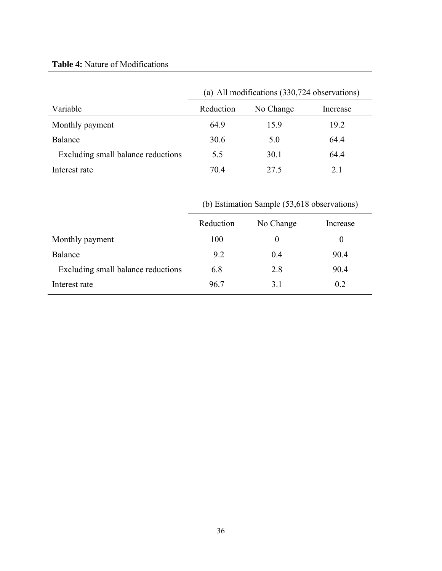# **Table 4:** Nature of Modifications

|                                    | (a) All modifications (330,724 observations) |           |          |  |
|------------------------------------|----------------------------------------------|-----------|----------|--|
| Variable                           | Reduction                                    | No Change | Increase |  |
| Monthly payment                    | 64.9                                         | 15.9      | 19.2     |  |
| Balance                            | 30.6                                         | 5.0       | 64.4     |  |
| Excluding small balance reductions | 5.5                                          | 30.1      | 64.4     |  |
| Interest rate                      | 704                                          | 27.5      | 21       |  |

(b) Estimation Sample (53,618 observations)

| Reduction | No Change | Increase |
|-----------|-----------|----------|
| 100       | $\theta$  | $\theta$ |
| 9.2       | 0.4       | 90.4     |
| 6.8       | 2.8       | 90.4     |
| 96.7      | 3.1       | 0.2      |
|           |           |          |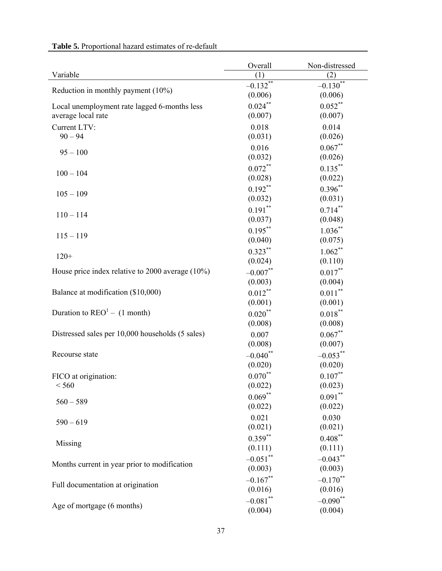|                                                     | Overall                | Non-distressed     |
|-----------------------------------------------------|------------------------|--------------------|
| Variable                                            | (1)                    | (2)                |
| Reduction in monthly payment (10%)                  | $-0.132$ <sup>**</sup> | $-0.130**$         |
|                                                     | (0.006)                | (0.006)            |
| Local unemployment rate lagged 6-months less        | $0.024***$             | $0.052***$         |
| average local rate                                  | (0.007)                | (0.007)            |
| Current LTV:                                        | 0.018                  | 0.014              |
| $90 - 94$                                           | (0.031)                | (0.026)            |
| $95 - 100$                                          | 0.016                  | $0.067**$          |
|                                                     | (0.032)                | (0.026)            |
| $100 - 104$                                         | $0.072***$             | $0.135***$         |
|                                                     | (0.028)                | (0.022)            |
| $105 - 109$                                         | $0.192**$              | $0.396**$          |
|                                                     | (0.032)                | (0.031)            |
| $110 - 114$                                         | $0.191***$             | $0.714***$         |
|                                                     | (0.037)                | (0.048)            |
| $115 - 119$                                         | $0.195***$             | $1.036***$         |
|                                                     | (0.040)                | (0.075)            |
| $120+$                                              | $0.323***$             | $1.062***$         |
|                                                     | (0.024)                | (0.110)            |
| House price index relative to 2000 average $(10\%)$ | $-0.007**$             | $0.017***$         |
|                                                     | (0.003)                | (0.004)            |
| Balance at modification (\$10,000)                  | $0.012***$             | $0.011^{\ast\ast}$ |
|                                                     | (0.001)                | (0.001)            |
| Duration to $\text{REO}^1$ – (1 month)              | $0.020**$              | $0.018^{**}$       |
|                                                     | (0.008)                | (0.008)            |
| Distressed sales per 10,000 households (5 sales)    | 0.007                  | $0.067**$          |
|                                                     | (0.008)                | (0.007)            |
| Recourse state                                      | $-0.040$ **            | $-0.053$ **        |
|                                                     | (0.020)                | (0.020)            |
| FICO at origination:                                | $0.070**$              | $0.107***$         |
| < 560                                               | (0.022)                | (0.023)            |
| $560 - 589$                                         | $0.069**$              | $0.091***$         |
|                                                     | (0.022)                | (0.022)            |
| $590 - 619$                                         | 0.021                  | 0.030              |
|                                                     | (0.021)                | (0.021)            |
| Missing                                             | $0.359***$             | $0.408***$         |
|                                                     | (0.111)                | (0.111)            |
| Months current in year prior to modification        | $-0.051$ **            | $-0.043**$         |
|                                                     | (0.003)                | (0.003)            |
| Full documentation at origination                   | $-0.167**$             | $-0.170$ **        |
|                                                     | (0.016)                | (0.016)            |
| Age of mortgage (6 months)                          | $-0.081$ **            | $-0.090**$         |
|                                                     | (0.004)                | (0.004)            |

**Table 5.** Proportional hazard estimates of re-default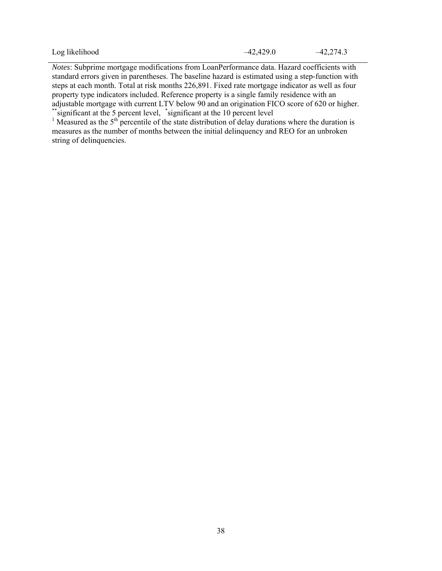| Log likelihood | $-42,429.0$ | $-42,274.3$ |
|----------------|-------------|-------------|
|----------------|-------------|-------------|

*Notes*: Subprime mortgage modifications from LoanPerformance data. Hazard coefficients with standard errors given in parentheses. The baseline hazard is estimated using a step-function with steps at each month. Total at risk months 226,891. Fixed rate mortgage indicator as well as four property type indicators included. Reference property is a single family residence with an adjustable mortgage with current LTV below 90 and an origination FICO score of 620 or higher. \*\*significant at the 5 percent level, \*significant at the 10 percent level

<sup>1</sup> Measured as the  $5<sup>th</sup>$  percentile of the state distribution of delay durations where the duration is measures as the number of months between the initial delinquency and REO for an unbroken string of delinquencies.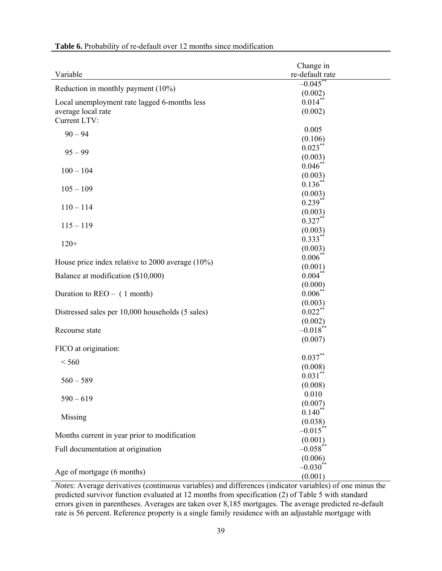| re-default rate<br>Variable<br>$-0.045$ **<br>Reduction in monthly payment (10%)<br>(0.002)<br>$0.014$ **<br>Local unemployment rate lagged 6-months less<br>average local rate<br>(0.002)<br>Current LTV:<br>0.005<br>$90 - 94$<br>(0.106)<br>$0.023***$<br>$95 - 99$<br>(0.003)<br>$0.046$ **<br>$100 - 104$<br>(0.003)<br>$0.136$ **<br>$105 - 109$<br>(0.003)<br>$0.239**$<br>$110 - 114$<br>(0.003)<br>$0.327***$<br>$115 - 119$<br>(0.003)<br>$0.333***$<br>$120+$<br>(0.003)<br>$0.006$ *<br>House price index relative to 2000 average $(10\%)$<br>(0.001)<br>$0.004***$<br>Balance at modification (\$10,000)<br>(0.000)<br>$0.006$ **<br>Duration to $REO - (1$ month)<br>(0.003)<br>$0.022$ **<br>Distressed sales per 10,000 households (5 sales)<br>(0.002)<br>$-0.018$ *<br>Recourse state<br>(0.007)<br>FICO at origination:<br>$0.037**$<br>< 560<br>(0.008)<br>$0.031**$<br>$560 - 589$<br>(0.008)<br>0.010<br>$590 - 619$<br>(0.007)<br>$0.140**$<br>Missing<br>(0.038)<br>$-0.015$ **<br>Months current in year prior to modification<br>(0.001)<br>$-0.058$ **<br>Full documentation at origination<br>(0.006)<br>$-0.030$ <sup>**</sup> |                            | Change in |
|--------------------------------------------------------------------------------------------------------------------------------------------------------------------------------------------------------------------------------------------------------------------------------------------------------------------------------------------------------------------------------------------------------------------------------------------------------------------------------------------------------------------------------------------------------------------------------------------------------------------------------------------------------------------------------------------------------------------------------------------------------------------------------------------------------------------------------------------------------------------------------------------------------------------------------------------------------------------------------------------------------------------------------------------------------------------------------------------------------------------------------------------------------------|----------------------------|-----------|
|                                                                                                                                                                                                                                                                                                                                                                                                                                                                                                                                                                                                                                                                                                                                                                                                                                                                                                                                                                                                                                                                                                                                                              |                            |           |
|                                                                                                                                                                                                                                                                                                                                                                                                                                                                                                                                                                                                                                                                                                                                                                                                                                                                                                                                                                                                                                                                                                                                                              |                            |           |
|                                                                                                                                                                                                                                                                                                                                                                                                                                                                                                                                                                                                                                                                                                                                                                                                                                                                                                                                                                                                                                                                                                                                                              |                            |           |
|                                                                                                                                                                                                                                                                                                                                                                                                                                                                                                                                                                                                                                                                                                                                                                                                                                                                                                                                                                                                                                                                                                                                                              |                            |           |
|                                                                                                                                                                                                                                                                                                                                                                                                                                                                                                                                                                                                                                                                                                                                                                                                                                                                                                                                                                                                                                                                                                                                                              |                            |           |
|                                                                                                                                                                                                                                                                                                                                                                                                                                                                                                                                                                                                                                                                                                                                                                                                                                                                                                                                                                                                                                                                                                                                                              |                            |           |
|                                                                                                                                                                                                                                                                                                                                                                                                                                                                                                                                                                                                                                                                                                                                                                                                                                                                                                                                                                                                                                                                                                                                                              |                            |           |
|                                                                                                                                                                                                                                                                                                                                                                                                                                                                                                                                                                                                                                                                                                                                                                                                                                                                                                                                                                                                                                                                                                                                                              |                            |           |
|                                                                                                                                                                                                                                                                                                                                                                                                                                                                                                                                                                                                                                                                                                                                                                                                                                                                                                                                                                                                                                                                                                                                                              |                            |           |
|                                                                                                                                                                                                                                                                                                                                                                                                                                                                                                                                                                                                                                                                                                                                                                                                                                                                                                                                                                                                                                                                                                                                                              |                            |           |
|                                                                                                                                                                                                                                                                                                                                                                                                                                                                                                                                                                                                                                                                                                                                                                                                                                                                                                                                                                                                                                                                                                                                                              |                            |           |
|                                                                                                                                                                                                                                                                                                                                                                                                                                                                                                                                                                                                                                                                                                                                                                                                                                                                                                                                                                                                                                                                                                                                                              |                            |           |
|                                                                                                                                                                                                                                                                                                                                                                                                                                                                                                                                                                                                                                                                                                                                                                                                                                                                                                                                                                                                                                                                                                                                                              |                            |           |
|                                                                                                                                                                                                                                                                                                                                                                                                                                                                                                                                                                                                                                                                                                                                                                                                                                                                                                                                                                                                                                                                                                                                                              |                            |           |
|                                                                                                                                                                                                                                                                                                                                                                                                                                                                                                                                                                                                                                                                                                                                                                                                                                                                                                                                                                                                                                                                                                                                                              |                            |           |
|                                                                                                                                                                                                                                                                                                                                                                                                                                                                                                                                                                                                                                                                                                                                                                                                                                                                                                                                                                                                                                                                                                                                                              |                            |           |
|                                                                                                                                                                                                                                                                                                                                                                                                                                                                                                                                                                                                                                                                                                                                                                                                                                                                                                                                                                                                                                                                                                                                                              |                            |           |
|                                                                                                                                                                                                                                                                                                                                                                                                                                                                                                                                                                                                                                                                                                                                                                                                                                                                                                                                                                                                                                                                                                                                                              |                            |           |
|                                                                                                                                                                                                                                                                                                                                                                                                                                                                                                                                                                                                                                                                                                                                                                                                                                                                                                                                                                                                                                                                                                                                                              |                            |           |
|                                                                                                                                                                                                                                                                                                                                                                                                                                                                                                                                                                                                                                                                                                                                                                                                                                                                                                                                                                                                                                                                                                                                                              |                            |           |
|                                                                                                                                                                                                                                                                                                                                                                                                                                                                                                                                                                                                                                                                                                                                                                                                                                                                                                                                                                                                                                                                                                                                                              |                            |           |
|                                                                                                                                                                                                                                                                                                                                                                                                                                                                                                                                                                                                                                                                                                                                                                                                                                                                                                                                                                                                                                                                                                                                                              |                            |           |
|                                                                                                                                                                                                                                                                                                                                                                                                                                                                                                                                                                                                                                                                                                                                                                                                                                                                                                                                                                                                                                                                                                                                                              |                            |           |
|                                                                                                                                                                                                                                                                                                                                                                                                                                                                                                                                                                                                                                                                                                                                                                                                                                                                                                                                                                                                                                                                                                                                                              |                            |           |
|                                                                                                                                                                                                                                                                                                                                                                                                                                                                                                                                                                                                                                                                                                                                                                                                                                                                                                                                                                                                                                                                                                                                                              |                            |           |
|                                                                                                                                                                                                                                                                                                                                                                                                                                                                                                                                                                                                                                                                                                                                                                                                                                                                                                                                                                                                                                                                                                                                                              |                            |           |
|                                                                                                                                                                                                                                                                                                                                                                                                                                                                                                                                                                                                                                                                                                                                                                                                                                                                                                                                                                                                                                                                                                                                                              |                            |           |
|                                                                                                                                                                                                                                                                                                                                                                                                                                                                                                                                                                                                                                                                                                                                                                                                                                                                                                                                                                                                                                                                                                                                                              |                            |           |
|                                                                                                                                                                                                                                                                                                                                                                                                                                                                                                                                                                                                                                                                                                                                                                                                                                                                                                                                                                                                                                                                                                                                                              |                            |           |
|                                                                                                                                                                                                                                                                                                                                                                                                                                                                                                                                                                                                                                                                                                                                                                                                                                                                                                                                                                                                                                                                                                                                                              |                            |           |
|                                                                                                                                                                                                                                                                                                                                                                                                                                                                                                                                                                                                                                                                                                                                                                                                                                                                                                                                                                                                                                                                                                                                                              |                            |           |
|                                                                                                                                                                                                                                                                                                                                                                                                                                                                                                                                                                                                                                                                                                                                                                                                                                                                                                                                                                                                                                                                                                                                                              |                            |           |
|                                                                                                                                                                                                                                                                                                                                                                                                                                                                                                                                                                                                                                                                                                                                                                                                                                                                                                                                                                                                                                                                                                                                                              |                            |           |
|                                                                                                                                                                                                                                                                                                                                                                                                                                                                                                                                                                                                                                                                                                                                                                                                                                                                                                                                                                                                                                                                                                                                                              |                            |           |
|                                                                                                                                                                                                                                                                                                                                                                                                                                                                                                                                                                                                                                                                                                                                                                                                                                                                                                                                                                                                                                                                                                                                                              |                            |           |
|                                                                                                                                                                                                                                                                                                                                                                                                                                                                                                                                                                                                                                                                                                                                                                                                                                                                                                                                                                                                                                                                                                                                                              |                            |           |
|                                                                                                                                                                                                                                                                                                                                                                                                                                                                                                                                                                                                                                                                                                                                                                                                                                                                                                                                                                                                                                                                                                                                                              |                            |           |
|                                                                                                                                                                                                                                                                                                                                                                                                                                                                                                                                                                                                                                                                                                                                                                                                                                                                                                                                                                                                                                                                                                                                                              |                            |           |
|                                                                                                                                                                                                                                                                                                                                                                                                                                                                                                                                                                                                                                                                                                                                                                                                                                                                                                                                                                                                                                                                                                                                                              |                            |           |
|                                                                                                                                                                                                                                                                                                                                                                                                                                                                                                                                                                                                                                                                                                                                                                                                                                                                                                                                                                                                                                                                                                                                                              |                            |           |
|                                                                                                                                                                                                                                                                                                                                                                                                                                                                                                                                                                                                                                                                                                                                                                                                                                                                                                                                                                                                                                                                                                                                                              | Age of mortgage (6 months) | (0.001)   |

## **Table 6.** Probability of re-default over 12 months since modification

*Notes*: Average derivatives (continuous variables) and differences (indicator variables) of one minus the predicted survivor function evaluated at 12 months from specification (2) of Table 5 with standard errors given in parentheses. Averages are taken over 8,185 mortgages. The average predicted re-default rate is 56 percent. Reference property is a single family residence with an adjustable mortgage with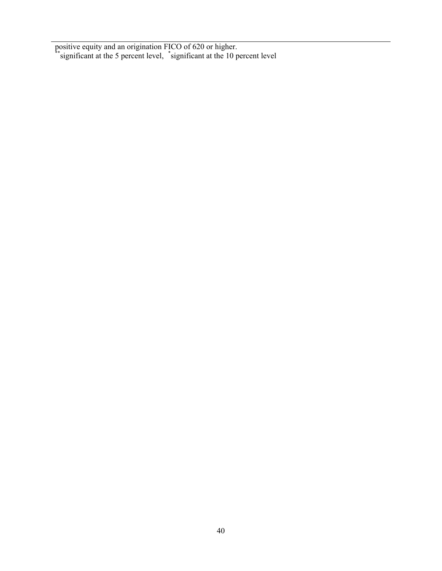positive equity and an origination FICO of 620 or higher. \*\*significant at the 5 percent level, \*significant at the 10 percent level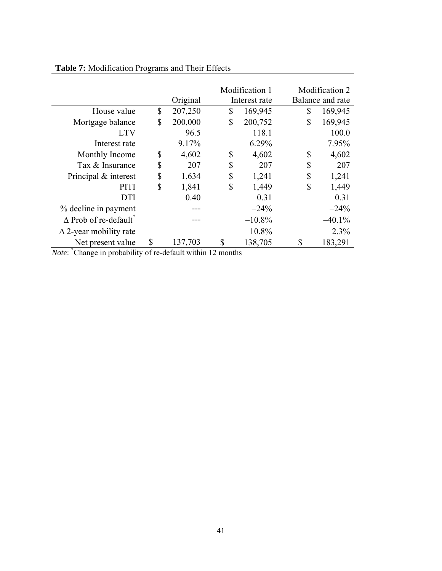|                                |               | Modification 1 | Modification 2   |
|--------------------------------|---------------|----------------|------------------|
|                                | Original      | Interest rate  | Balance and rate |
| House value                    | \$<br>207,250 | \$<br>169,945  | \$<br>169,945    |
| Mortgage balance               | \$<br>200,000 | \$<br>200,752  | \$<br>169,945    |
| <b>LTV</b>                     | 96.5          | 118.1          | 100.0            |
| Interest rate                  | 9.17%         | 6.29%          | 7.95%            |
| Monthly Income                 | \$<br>4,602   | \$<br>4,602    | \$<br>4,602      |
| Tax & Insurance                | \$<br>207     | \$<br>207      | \$<br>207        |
| Principal & interest           | \$<br>1,634   | \$<br>1,241    | \$<br>1,241      |
| PITI                           | \$<br>1,841   | \$<br>1,449    | \$<br>1,449      |
| <b>DTI</b>                     | 0.40          | 0.31           | 0.31             |
| % decline in payment           |               | $-24%$         | $-24%$           |
| $\triangle$ Prob of re-default |               | $-10.8%$       | $-40.1%$         |
| $\Delta$ 2-year mobility rate  |               | $-10.8\%$      | $-2.3%$          |
| Net present value<br>* .       | \$<br>137,703 | \$<br>138,705  | \$<br>183,291    |

# **Table 7:** Modification Programs and Their Effects

*Note*: \* Change in probability of re-default within 12 months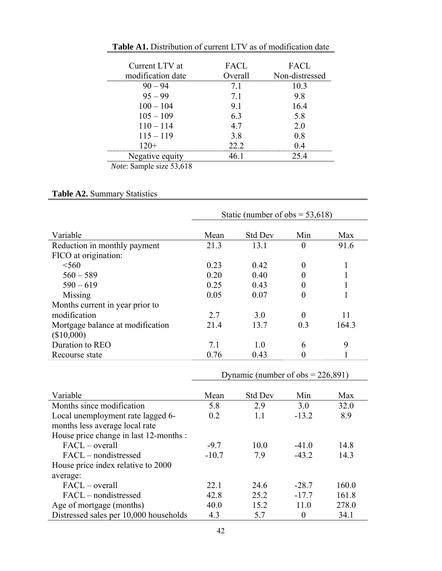| Current LTV at    | FACL    | <b>FACL</b>    |
|-------------------|---------|----------------|
| modification date | Overall | Non-distressed |
| $90 - 94$         | 7.1     | 10.3           |
| $95 - 99$         | 71      | 98             |
| $100 - 104$       | 9.1     | 16.4           |
| $105 - 109$       | 6.3     | 5.8            |
| $110 - 114$       | 4.7     | 2.0            |
| $115 - 119$       | 3.8     | 0.8            |
| $120+$            | 22.2    | 0.4            |
| Negative equity   | 46.1    | 254            |
| $\sim$            |         |                |

**Table A1.** Distribution of current LTV as of modification date

*Note*: Sample size 53,618

# **Table A2.** Summary Statistics

| Static (number of obs = $53,618$ ) |                |                |       |
|------------------------------------|----------------|----------------|-------|
| Mean                               | <b>Std Dev</b> | Min            | Max   |
| 21.3                               | 13.1           | $\overline{0}$ | 91.6  |
|                                    |                |                |       |
| 0.23                               | 0.42           | $\theta$       |       |
| 0.20                               | 0.40           |                |       |
| 0.25                               | 0.43           |                |       |
| 0.05                               | 0.07           | 0              |       |
|                                    |                |                |       |
| 2.7                                | 3.0            | $\Omega$       | 11    |
| 21.4                               | 13.7           | 0.3            | 164.3 |
|                                    |                |                |       |
| 7.1                                | 10             | 6              | 9     |
| 0.76                               | 0.43           | 0              |       |
|                                    |                |                |       |

Dynamic (number of obs = 226,891)

| Variable                               | Mean    | <b>Std Dev</b> | Min     | Max   |
|----------------------------------------|---------|----------------|---------|-------|
| Months since modification              | 5.8     | 2.9            | 3.0     | 32.0  |
| Local unemployment rate lagged 6-      | 0.2     | 11             | $-13.2$ | 8.9   |
| months less average local rate         |         |                |         |       |
| House price change in last 12-months : |         |                |         |       |
| $\text{FACL}$ – overall                | $-97$   | 100            | $-41.0$ | 14.8  |
| FACL – nondistressed                   | $-10.7$ | 7.9            | $-43.2$ | 14.3  |
| House price index relative to 2000     |         |                |         |       |
| average:                               |         |                |         |       |
| $\text{FACL}$ – overall                | 22.1    | 24.6           | $-28.7$ | 160.0 |
| FACL – nondistressed                   | 42.8    | 25.2           | $-17.7$ | 161.8 |
| Age of mortgage (months)               | 40.0    | 15.2           | 11.0    | 278.0 |
| Distressed sales per 10,000 households | 4.3     | 5.7            | 0       | 34.1  |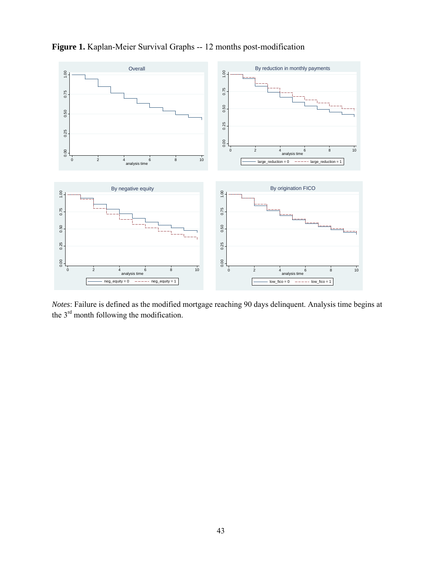

# **Figure 1.** Kaplan-Meier Survival Graphs -- 12 months post-modification

*Notes*: Failure is defined as the modified mortgage reaching 90 days delinquent. Analysis time begins at the 3<sup>rd</sup> month following the modification.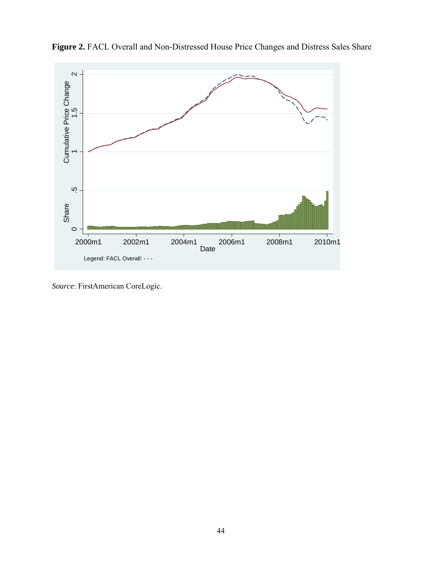

**Figure 2.** FACL Overall and Non-Distressed House Price Changes and Distress Sales Share

*Source*: FirstAmerican CoreLogic.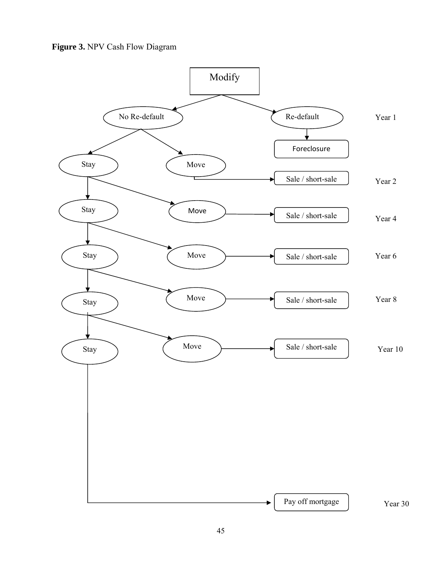**Figure 3.** NPV Cash Flow Diagram